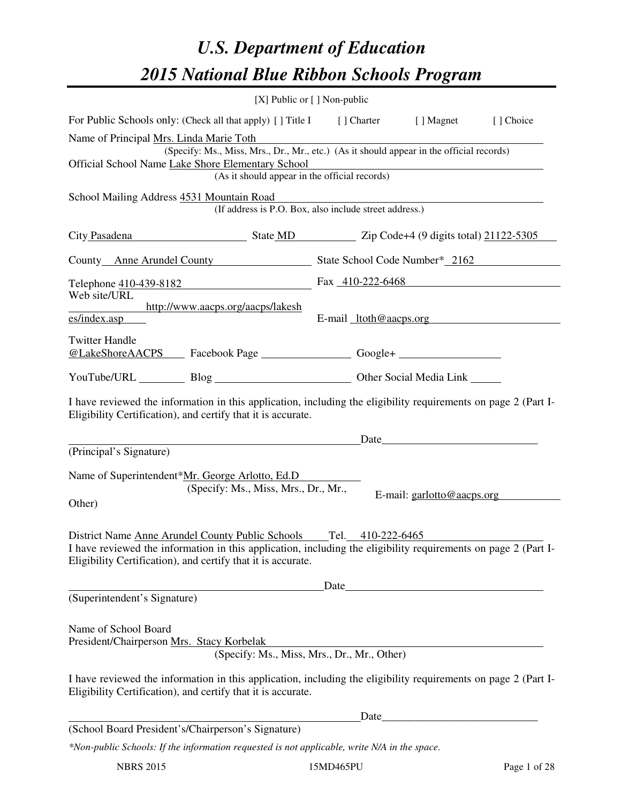# *U.S. Department of Education 2015 National Blue Ribbon Schools Program*

|                                                                                                                                                                                                                                                      |                                      | [X] Public or $[$ ] Non-public                                                           |                                                                                                                       |           |
|------------------------------------------------------------------------------------------------------------------------------------------------------------------------------------------------------------------------------------------------------|--------------------------------------|------------------------------------------------------------------------------------------|-----------------------------------------------------------------------------------------------------------------------|-----------|
| For Public Schools only: (Check all that apply) [] Title I [] Charter [] Magnet                                                                                                                                                                      |                                      |                                                                                          |                                                                                                                       | [] Choice |
| Name of Principal Mrs. Linda Marie Toth                                                                                                                                                                                                              |                                      | (Specify: Ms., Miss, Mrs., Dr., Mr., etc.) (As it should appear in the official records) |                                                                                                                       |           |
| Official School Name Lake Shore Elementary School                                                                                                                                                                                                    |                                      | (As it should appear in the official records)                                            |                                                                                                                       |           |
| School Mailing Address 4531 Mountain Road                                                                                                                                                                                                            |                                      | (If address is P.O. Box, also include street address.)                                   |                                                                                                                       |           |
| City Pasadena State MD Zip Code+4 (9 digits total) 21122-5305                                                                                                                                                                                        |                                      |                                                                                          |                                                                                                                       |           |
| County Anne Arundel County State School Code Number* 2162                                                                                                                                                                                            |                                      |                                                                                          |                                                                                                                       |           |
| Telephone $\frac{410-439-8182}{222}$ Fax $\frac{410-222-6468}{222}$<br>Web site/URL                                                                                                                                                                  |                                      |                                                                                          |                                                                                                                       |           |
| http://www.aacps.org/aacps/lakesh<br>es/index.asp                                                                                                                                                                                                    |                                      | E-mail $ltoth@aaeps.org$                                                                 |                                                                                                                       |           |
| <b>Twitter Handle</b>                                                                                                                                                                                                                                |                                      |                                                                                          |                                                                                                                       |           |
| YouTube/URL Blog Blog Discount Cher Social Media Link                                                                                                                                                                                                |                                      |                                                                                          |                                                                                                                       |           |
| I have reviewed the information in this application, including the eligibility requirements on page 2 (Part I-<br>Eligibility Certification), and certify that it is accurate.                                                                       |                                      |                                                                                          |                                                                                                                       |           |
| (Principal's Signature)                                                                                                                                                                                                                              |                                      |                                                                                          |                                                                                                                       |           |
| Name of Superintendent*Mr. George Arlotto, Ed.D<br>Other)                                                                                                                                                                                            | (Specify: Ms., Miss, Mrs., Dr., Mr., |                                                                                          | E-mail: garlotto@aacps.org                                                                                            |           |
| District Name Anne Arundel County Public Schools Tel. 410-222-6465<br>I have reviewed the information in this application, including the eligibility requirements on page 2 (Part I-<br>Eligibility Certification), and certify that it is accurate. |                                      | Date                                                                                     |                                                                                                                       |           |
| (Superintendent's Signature)                                                                                                                                                                                                                         |                                      |                                                                                          | <u> 1980 - Andrea Aonaichte ann an t-Aonaichte ann an t-Aonaichte ann an t-Aonaichte ann an t-Aonaichte ann an t-</u> |           |
| Name of School Board<br>President/Chairperson Mrs. Stacy Korbelak<br>I have reviewed the information in this application, including the eligibility requirements on page 2 (Part I-<br>Eligibility Certification), and certify that it is accurate.  |                                      | (Specify: Ms., Miss, Mrs., Dr., Mr., Other)                                              |                                                                                                                       |           |
|                                                                                                                                                                                                                                                      |                                      | Date                                                                                     |                                                                                                                       |           |
| (School Board President's/Chairperson's Signature)                                                                                                                                                                                                   |                                      |                                                                                          |                                                                                                                       |           |
| *Non-public Schools: If the information requested is not applicable, write N/A in the space.                                                                                                                                                         |                                      |                                                                                          |                                                                                                                       |           |

NBRS 2015 15MD465PU Page 1 of 28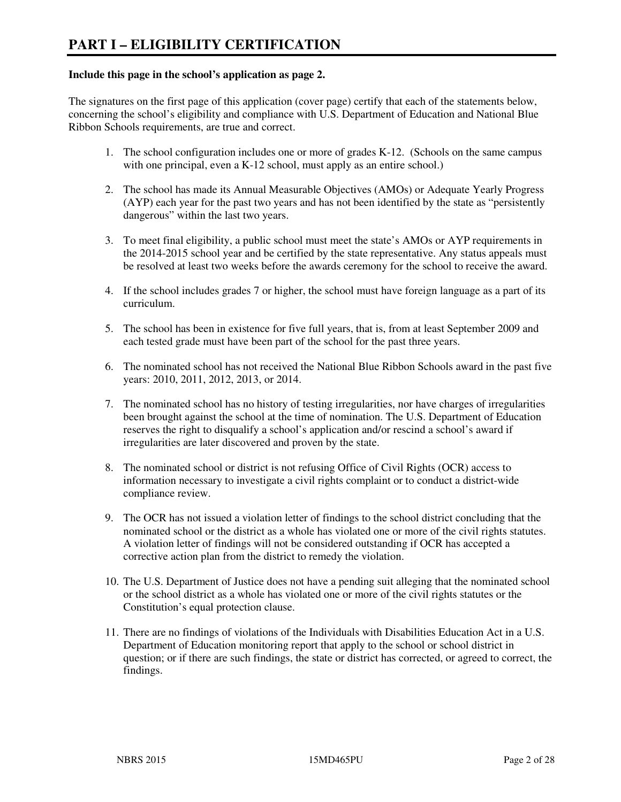#### **Include this page in the school's application as page 2.**

The signatures on the first page of this application (cover page) certify that each of the statements below, concerning the school's eligibility and compliance with U.S. Department of Education and National Blue Ribbon Schools requirements, are true and correct.

- 1. The school configuration includes one or more of grades K-12. (Schools on the same campus with one principal, even a K-12 school, must apply as an entire school.)
- 2. The school has made its Annual Measurable Objectives (AMOs) or Adequate Yearly Progress (AYP) each year for the past two years and has not been identified by the state as "persistently dangerous" within the last two years.
- 3. To meet final eligibility, a public school must meet the state's AMOs or AYP requirements in the 2014-2015 school year and be certified by the state representative. Any status appeals must be resolved at least two weeks before the awards ceremony for the school to receive the award.
- 4. If the school includes grades 7 or higher, the school must have foreign language as a part of its curriculum.
- 5. The school has been in existence for five full years, that is, from at least September 2009 and each tested grade must have been part of the school for the past three years.
- 6. The nominated school has not received the National Blue Ribbon Schools award in the past five years: 2010, 2011, 2012, 2013, or 2014.
- 7. The nominated school has no history of testing irregularities, nor have charges of irregularities been brought against the school at the time of nomination. The U.S. Department of Education reserves the right to disqualify a school's application and/or rescind a school's award if irregularities are later discovered and proven by the state.
- 8. The nominated school or district is not refusing Office of Civil Rights (OCR) access to information necessary to investigate a civil rights complaint or to conduct a district-wide compliance review.
- 9. The OCR has not issued a violation letter of findings to the school district concluding that the nominated school or the district as a whole has violated one or more of the civil rights statutes. A violation letter of findings will not be considered outstanding if OCR has accepted a corrective action plan from the district to remedy the violation.
- 10. The U.S. Department of Justice does not have a pending suit alleging that the nominated school or the school district as a whole has violated one or more of the civil rights statutes or the Constitution's equal protection clause.
- 11. There are no findings of violations of the Individuals with Disabilities Education Act in a U.S. Department of Education monitoring report that apply to the school or school district in question; or if there are such findings, the state or district has corrected, or agreed to correct, the findings.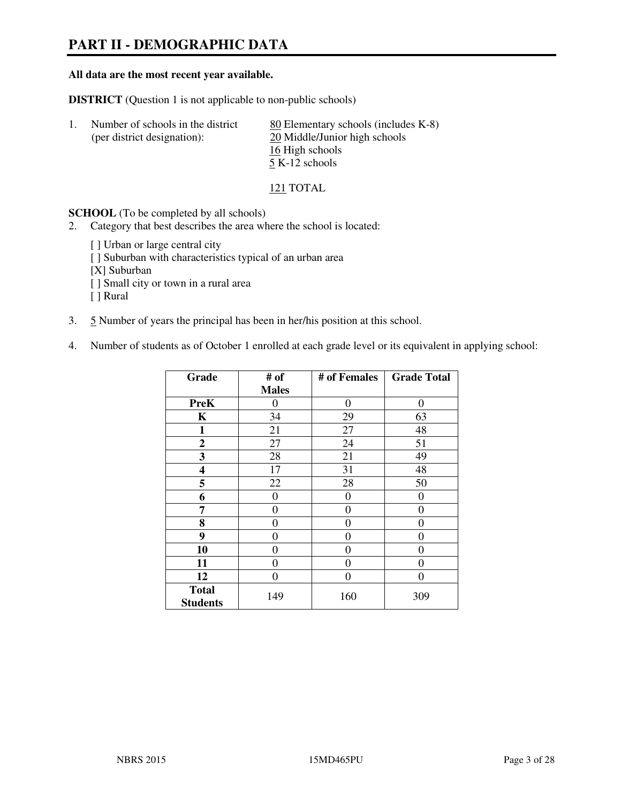# **PART II - DEMOGRAPHIC DATA**

#### **All data are the most recent year available.**

**DISTRICT** (Question 1 is not applicable to non-public schools)

| Number of schools in the district | 80 Elementary schools (includes K-8) |
|-----------------------------------|--------------------------------------|
| (per district designation):       | 20 Middle/Junior high schools        |
|                                   | 16 High schools                      |
|                                   | 5 K-12 schools                       |

121 TOTAL

**SCHOOL** (To be completed by all schools)

- 2. Category that best describes the area where the school is located:
	- [ ] Urban or large central city
	- [ ] Suburban with characteristics typical of an urban area
	- [X] Suburban
	- [ ] Small city or town in a rural area
	- [ ] Rural
- 3. 5 Number of years the principal has been in her/his position at this school.
- 4. Number of students as of October 1 enrolled at each grade level or its equivalent in applying school:

| Grade                           | # of         | # of Females | <b>Grade Total</b> |
|---------------------------------|--------------|--------------|--------------------|
|                                 | <b>Males</b> |              |                    |
| <b>PreK</b>                     | 0            | 0            | $\theta$           |
| K                               | 34           | 29           | 63                 |
| 1                               | 21           | 27           | 48                 |
| $\mathbf{2}$                    | 27           | 24           | 51                 |
| 3                               | 28           | 21           | 49                 |
| 4                               | 17           | 31           | 48                 |
| 5                               | 22           | 28           | 50                 |
| 6                               | 0            | 0            | $\theta$           |
| 7                               | 0            | $\theta$     | 0                  |
| 8                               | 0            | 0            | 0                  |
| 9                               | 0            | 0            | 0                  |
| 10                              | 0            | 0            | 0                  |
| 11                              | 0            | 0            | 0                  |
| 12                              | 0            | 0            | 0                  |
| <b>Total</b><br><b>Students</b> | 149          | 160          | 309                |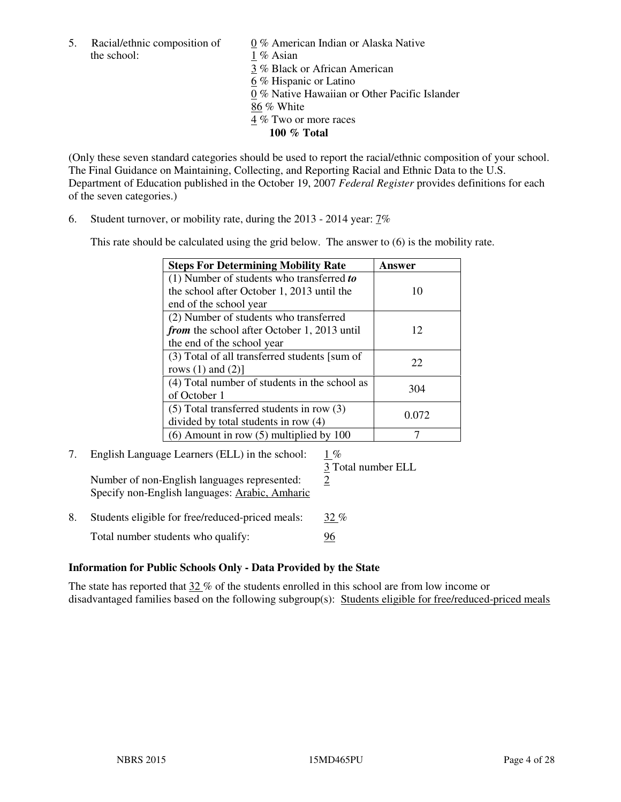5. Racial/ethnic composition of  $0\%$  American Indian or Alaska Native the school: 1 % Asian

 3 % Black or African American 6 % Hispanic or Latino 0 % Native Hawaiian or Other Pacific Islander 86 % White 4 % Two or more races **100 % Total** 

(Only these seven standard categories should be used to report the racial/ethnic composition of your school. The Final Guidance on Maintaining, Collecting, and Reporting Racial and Ethnic Data to the U.S. Department of Education published in the October 19, 2007 *Federal Register* provides definitions for each of the seven categories.)

6. Student turnover, or mobility rate, during the 2013 - 2014 year: 7%

This rate should be calculated using the grid below. The answer to (6) is the mobility rate.

| <b>Steps For Determining Mobility Rate</b>         | Answer |
|----------------------------------------------------|--------|
| $(1)$ Number of students who transferred to        |        |
| the school after October 1, 2013 until the         | 10     |
| end of the school year                             |        |
| (2) Number of students who transferred             |        |
| <i>from</i> the school after October 1, 2013 until | 12     |
| the end of the school year                         |        |
| (3) Total of all transferred students [sum of      | 22     |
| rows $(1)$ and $(2)$ ]                             |        |
| (4) Total number of students in the school as      | 304    |
| of October 1                                       |        |
| $(5)$ Total transferred students in row $(3)$      | 0.072  |
| divided by total students in row (4)               |        |
| $(6)$ Amount in row $(5)$ multiplied by 100        |        |

# 7. English Language Learners (ELL) in the school: 1 %

Number of non-English languages represented:  $2$ Specify non-English languages: Arabic, Amharic

3 Total number ELL

8. Students eligible for free/reduced-priced meals:  $32\%$ Total number students who qualify: 96

#### **Information for Public Schools Only - Data Provided by the State**

The state has reported that  $32\%$  of the students enrolled in this school are from low income or disadvantaged families based on the following subgroup(s): Students eligible for free/reduced-priced meals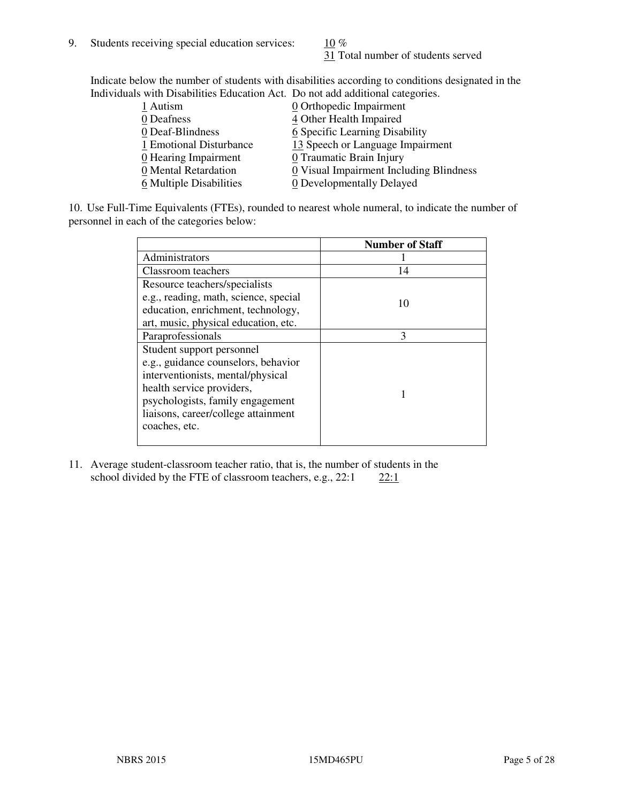31 Total number of students served

Indicate below the number of students with disabilities according to conditions designated in the Individuals with Disabilities Education Act. Do not add additional categories.

| 1 Autism                           | $Q$ Orthopedic Impairment               |
|------------------------------------|-----------------------------------------|
| 0 Deafness                         | 4 Other Health Impaired                 |
| 0 Deaf-Blindness                   | 6 Specific Learning Disability          |
| 1 Emotional Disturbance            | 13 Speech or Language Impairment        |
| $\underline{0}$ Hearing Impairment | 0 Traumatic Brain Injury                |
| 0 Mental Retardation               | 0 Visual Impairment Including Blindness |
| 6 Multiple Disabilities            | 0 Developmentally Delayed               |
|                                    |                                         |

10. Use Full-Time Equivalents (FTEs), rounded to nearest whole numeral, to indicate the number of personnel in each of the categories below:

|                                       | <b>Number of Staff</b> |
|---------------------------------------|------------------------|
| Administrators                        |                        |
| Classroom teachers                    | 14                     |
| Resource teachers/specialists         |                        |
| e.g., reading, math, science, special | 10                     |
| education, enrichment, technology,    |                        |
| art, music, physical education, etc.  |                        |
| Paraprofessionals                     | 3                      |
| Student support personnel             |                        |
| e.g., guidance counselors, behavior   |                        |
| interventionists, mental/physical     |                        |
| health service providers,             |                        |
| psychologists, family engagement      |                        |
| liaisons, career/college attainment   |                        |
| coaches, etc.                         |                        |
|                                       |                        |

11. Average student-classroom teacher ratio, that is, the number of students in the school divided by the FTE of classroom teachers, e.g.,  $22:1$   $22:1$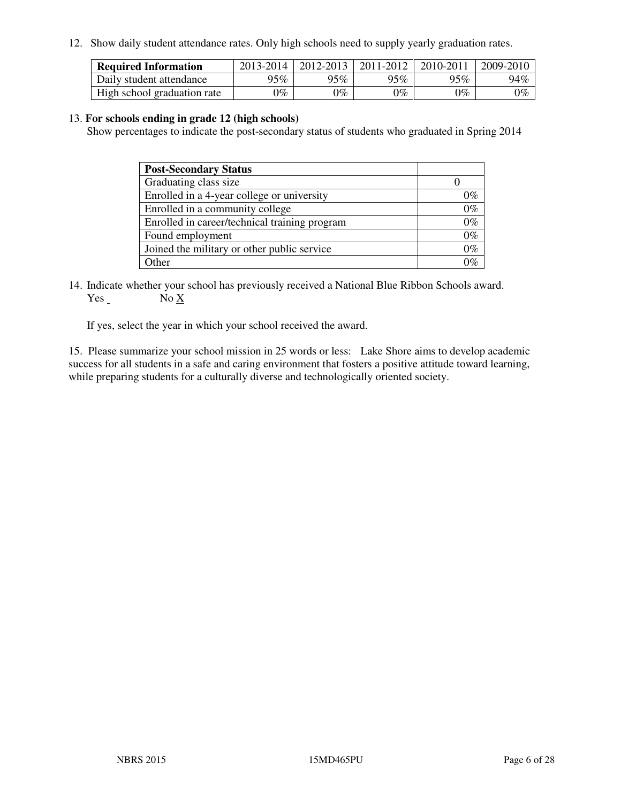12. Show daily student attendance rates. Only high schools need to supply yearly graduation rates.

| <b>Required Information</b> | 2013-2014     | 2012-2013       | 2011-2012 | 2010-2011 | 2009-2010 |
|-----------------------------|---------------|-----------------|-----------|-----------|-----------|
| Daily student attendance    | 95%           | 95%             | 95% $\,$  | 95%       | 94%       |
| High school graduation rate | $\gamma_{\%}$ | $\mathcal{V}_o$ | $0\%$     | 0%        | 0%        |

#### 13. **For schools ending in grade 12 (high schools)**

Show percentages to indicate the post-secondary status of students who graduated in Spring 2014

| <b>Post-Secondary Status</b>                  |       |
|-----------------------------------------------|-------|
| Graduating class size                         |       |
| Enrolled in a 4-year college or university    | በ‰    |
| Enrolled in a community college               | $0\%$ |
| Enrolled in career/technical training program | $0\%$ |
| Found employment                              | $0\%$ |
| Joined the military or other public service   | 0%    |
| Other                                         |       |

14. Indicate whether your school has previously received a National Blue Ribbon Schools award. Yes No X

If yes, select the year in which your school received the award.

15. Please summarize your school mission in 25 words or less: Lake Shore aims to develop academic success for all students in a safe and caring environment that fosters a positive attitude toward learning, while preparing students for a culturally diverse and technologically oriented society.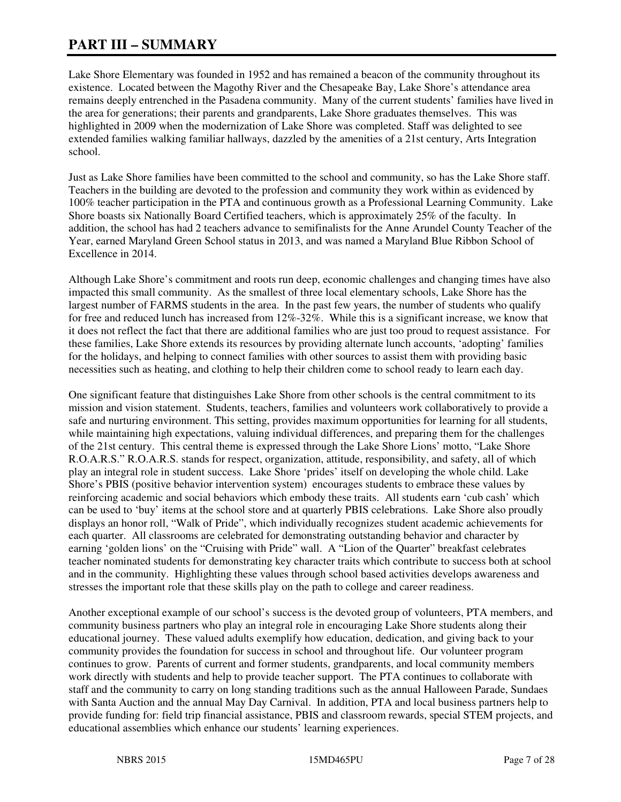# **PART III – SUMMARY**

Lake Shore Elementary was founded in 1952 and has remained a beacon of the community throughout its existence. Located between the Magothy River and the Chesapeake Bay, Lake Shore's attendance area remains deeply entrenched in the Pasadena community. Many of the current students' families have lived in the area for generations; their parents and grandparents, Lake Shore graduates themselves. This was highlighted in 2009 when the modernization of Lake Shore was completed. Staff was delighted to see extended families walking familiar hallways, dazzled by the amenities of a 21st century, Arts Integration school.

Just as Lake Shore families have been committed to the school and community, so has the Lake Shore staff. Teachers in the building are devoted to the profession and community they work within as evidenced by 100% teacher participation in the PTA and continuous growth as a Professional Learning Community. Lake Shore boasts six Nationally Board Certified teachers, which is approximately 25% of the faculty. In addition, the school has had 2 teachers advance to semifinalists for the Anne Arundel County Teacher of the Year, earned Maryland Green School status in 2013, and was named a Maryland Blue Ribbon School of Excellence in 2014.

Although Lake Shore's commitment and roots run deep, economic challenges and changing times have also impacted this small community. As the smallest of three local elementary schools, Lake Shore has the largest number of FARMS students in the area. In the past few years, the number of students who qualify for free and reduced lunch has increased from 12%-32%. While this is a significant increase, we know that it does not reflect the fact that there are additional families who are just too proud to request assistance. For these families, Lake Shore extends its resources by providing alternate lunch accounts, 'adopting' families for the holidays, and helping to connect families with other sources to assist them with providing basic necessities such as heating, and clothing to help their children come to school ready to learn each day.

One significant feature that distinguishes Lake Shore from other schools is the central commitment to its mission and vision statement. Students, teachers, families and volunteers work collaboratively to provide a safe and nurturing environment. This setting, provides maximum opportunities for learning for all students, while maintaining high expectations, valuing individual differences, and preparing them for the challenges of the 21st century. This central theme is expressed through the Lake Shore Lions' motto, "Lake Shore R.O.A.R.S." R.O.A.R.S. stands for respect, organization, attitude, responsibility, and safety, all of which play an integral role in student success. Lake Shore 'prides' itself on developing the whole child. Lake Shore's PBIS (positive behavior intervention system) encourages students to embrace these values by reinforcing academic and social behaviors which embody these traits. All students earn 'cub cash' which can be used to 'buy' items at the school store and at quarterly PBIS celebrations. Lake Shore also proudly displays an honor roll, "Walk of Pride", which individually recognizes student academic achievements for each quarter. All classrooms are celebrated for demonstrating outstanding behavior and character by earning 'golden lions' on the "Cruising with Pride" wall. A "Lion of the Quarter" breakfast celebrates teacher nominated students for demonstrating key character traits which contribute to success both at school and in the community. Highlighting these values through school based activities develops awareness and stresses the important role that these skills play on the path to college and career readiness.

Another exceptional example of our school's success is the devoted group of volunteers, PTA members, and community business partners who play an integral role in encouraging Lake Shore students along their educational journey. These valued adults exemplify how education, dedication, and giving back to your community provides the foundation for success in school and throughout life. Our volunteer program continues to grow. Parents of current and former students, grandparents, and local community members work directly with students and help to provide teacher support. The PTA continues to collaborate with staff and the community to carry on long standing traditions such as the annual Halloween Parade, Sundaes with Santa Auction and the annual May Day Carnival. In addition, PTA and local business partners help to provide funding for: field trip financial assistance, PBIS and classroom rewards, special STEM projects, and educational assemblies which enhance our students' learning experiences.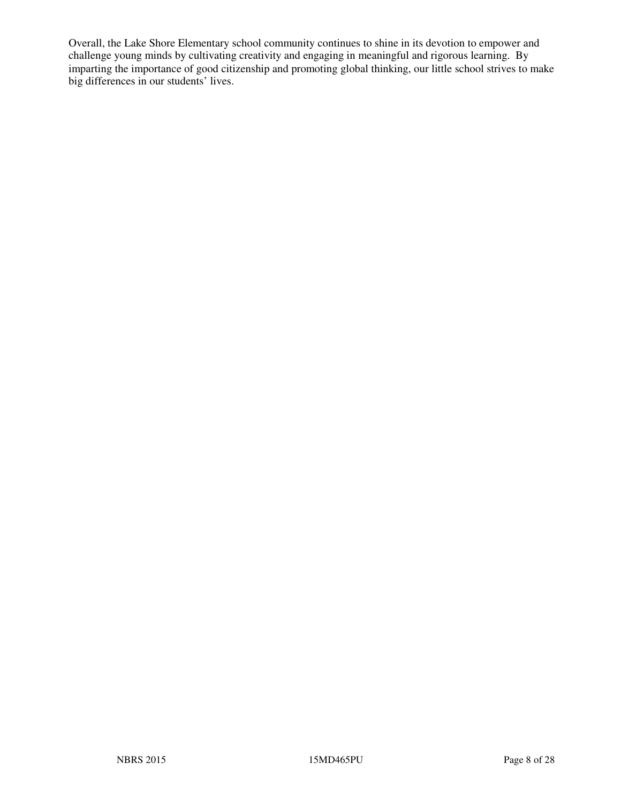Overall, the Lake Shore Elementary school community continues to shine in its devotion to empower and challenge young minds by cultivating creativity and engaging in meaningful and rigorous learning. By imparting the importance of good citizenship and promoting global thinking, our little school strives to make big differences in our students' lives.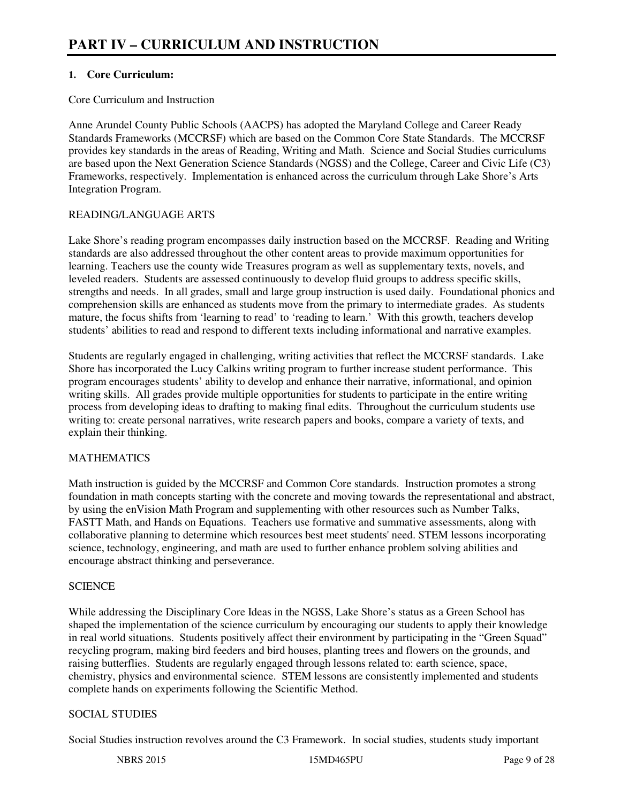## **1. Core Curriculum:**

#### Core Curriculum and Instruction

Anne Arundel County Public Schools (AACPS) has adopted the Maryland College and Career Ready Standards Frameworks (MCCRSF) which are based on the Common Core State Standards. The MCCRSF provides key standards in the areas of Reading, Writing and Math. Science and Social Studies curriculums are based upon the Next Generation Science Standards (NGSS) and the College, Career and Civic Life (C3) Frameworks, respectively. Implementation is enhanced across the curriculum through Lake Shore's Arts Integration Program.

# READING/LANGUAGE ARTS

Lake Shore's reading program encompasses daily instruction based on the MCCRSF. Reading and Writing standards are also addressed throughout the other content areas to provide maximum opportunities for learning. Teachers use the county wide Treasures program as well as supplementary texts, novels, and leveled readers. Students are assessed continuously to develop fluid groups to address specific skills, strengths and needs. In all grades, small and large group instruction is used daily. Foundational phonics and comprehension skills are enhanced as students move from the primary to intermediate grades. As students mature, the focus shifts from 'learning to read' to 'reading to learn.' With this growth, teachers develop students' abilities to read and respond to different texts including informational and narrative examples.

Students are regularly engaged in challenging, writing activities that reflect the MCCRSF standards. Lake Shore has incorporated the Lucy Calkins writing program to further increase student performance. This program encourages students' ability to develop and enhance their narrative, informational, and opinion writing skills. All grades provide multiple opportunities for students to participate in the entire writing process from developing ideas to drafting to making final edits. Throughout the curriculum students use writing to: create personal narratives, write research papers and books, compare a variety of texts, and explain their thinking.

# MATHEMATICS

Math instruction is guided by the MCCRSF and Common Core standards. Instruction promotes a strong foundation in math concepts starting with the concrete and moving towards the representational and abstract, by using the enVision Math Program and supplementing with other resources such as Number Talks, FASTT Math, and Hands on Equations. Teachers use formative and summative assessments, along with collaborative planning to determine which resources best meet students' need. STEM lessons incorporating science, technology, engineering, and math are used to further enhance problem solving abilities and encourage abstract thinking and perseverance.

#### **SCIENCE**

While addressing the Disciplinary Core Ideas in the NGSS, Lake Shore's status as a Green School has shaped the implementation of the science curriculum by encouraging our students to apply their knowledge in real world situations. Students positively affect their environment by participating in the "Green Squad" recycling program, making bird feeders and bird houses, planting trees and flowers on the grounds, and raising butterflies. Students are regularly engaged through lessons related to: earth science, space, chemistry, physics and environmental science. STEM lessons are consistently implemented and students complete hands on experiments following the Scientific Method.

# SOCIAL STUDIES

Social Studies instruction revolves around the C3 Framework. In social studies, students study important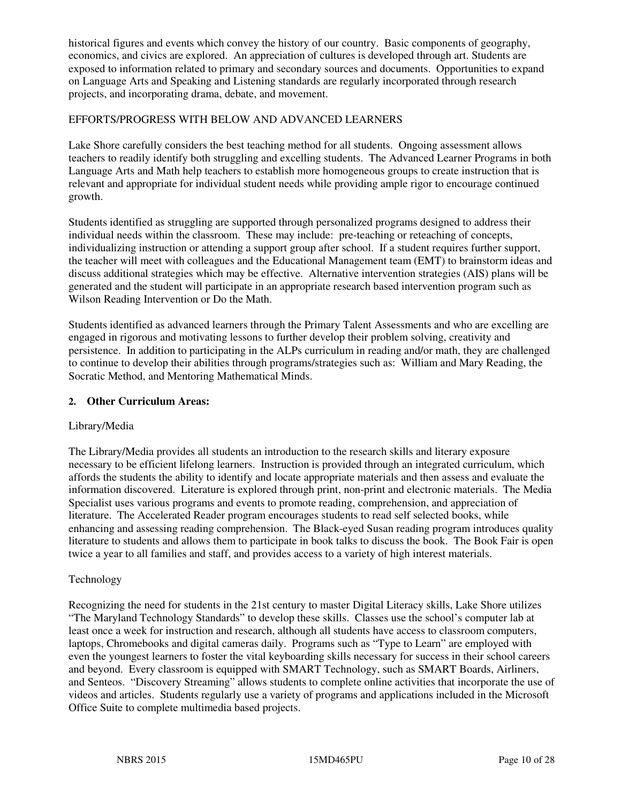historical figures and events which convey the history of our country. Basic components of geography, economics, and civics are explored. An appreciation of cultures is developed through art. Students are exposed to information related to primary and secondary sources and documents. Opportunities to expand on Language Arts and Speaking and Listening standards are regularly incorporated through research projects, and incorporating drama, debate, and movement.

## EFFORTS/PROGRESS WITH BELOW AND ADVANCED LEARNERS

Lake Shore carefully considers the best teaching method for all students. Ongoing assessment allows teachers to readily identify both struggling and excelling students. The Advanced Learner Programs in both Language Arts and Math help teachers to establish more homogeneous groups to create instruction that is relevant and appropriate for individual student needs while providing ample rigor to encourage continued growth.

Students identified as struggling are supported through personalized programs designed to address their individual needs within the classroom. These may include: pre-teaching or reteaching of concepts, individualizing instruction or attending a support group after school. If a student requires further support, the teacher will meet with colleagues and the Educational Management team (EMT) to brainstorm ideas and discuss additional strategies which may be effective. Alternative intervention strategies (AIS) plans will be generated and the student will participate in an appropriate research based intervention program such as Wilson Reading Intervention or Do the Math.

Students identified as advanced learners through the Primary Talent Assessments and who are excelling are engaged in rigorous and motivating lessons to further develop their problem solving, creativity and persistence. In addition to participating in the ALPs curriculum in reading and/or math, they are challenged to continue to develop their abilities through programs/strategies such as: William and Mary Reading, the Socratic Method, and Mentoring Mathematical Minds.

#### **2. Other Curriculum Areas:**

#### Library/Media

The Library/Media provides all students an introduction to the research skills and literary exposure necessary to be efficient lifelong learners. Instruction is provided through an integrated curriculum, which affords the students the ability to identify and locate appropriate materials and then assess and evaluate the information discovered. Literature is explored through print, non-print and electronic materials. The Media Specialist uses various programs and events to promote reading, comprehension, and appreciation of literature. The Accelerated Reader program encourages students to read self selected books, while enhancing and assessing reading comprehension. The Black-eyed Susan reading program introduces quality literature to students and allows them to participate in book talks to discuss the book. The Book Fair is open twice a year to all families and staff, and provides access to a variety of high interest materials.

#### Technology

Recognizing the need for students in the 21st century to master Digital Literacy skills, Lake Shore utilizes "The Maryland Technology Standards" to develop these skills. Classes use the school's computer lab at least once a week for instruction and research, although all students have access to classroom computers, laptops, Chromebooks and digital cameras daily. Programs such as "Type to Learn" are employed with even the youngest learners to foster the vital keyboarding skills necessary for success in their school careers and beyond. Every classroom is equipped with SMART Technology, such as SMART Boards, Airliners, and Senteos. "Discovery Streaming" allows students to complete online activities that incorporate the use of videos and articles. Students regularly use a variety of programs and applications included in the Microsoft Office Suite to complete multimedia based projects.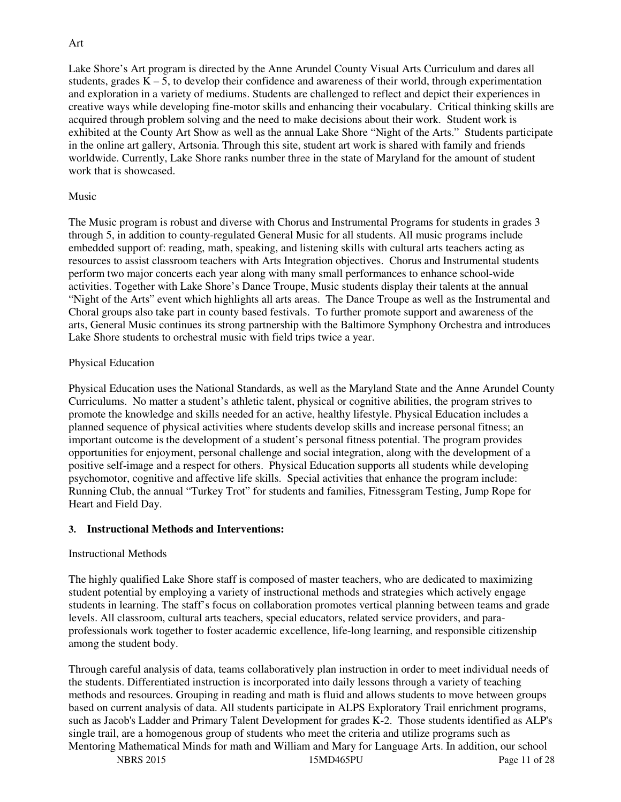## Art

Lake Shore's Art program is directed by the Anne Arundel County Visual Arts Curriculum and dares all students, grades  $K - 5$ , to develop their confidence and awareness of their world, through experimentation and exploration in a variety of mediums. Students are challenged to reflect and depict their experiences in creative ways while developing fine-motor skills and enhancing their vocabulary. Critical thinking skills are acquired through problem solving and the need to make decisions about their work. Student work is exhibited at the County Art Show as well as the annual Lake Shore "Night of the Arts." Students participate in the online art gallery, Artsonia. Through this site, student art work is shared with family and friends worldwide. Currently, Lake Shore ranks number three in the state of Maryland for the amount of student work that is showcased.

#### Music

The Music program is robust and diverse with Chorus and Instrumental Programs for students in grades 3 through 5, in addition to county-regulated General Music for all students. All music programs include embedded support of: reading, math, speaking, and listening skills with cultural arts teachers acting as resources to assist classroom teachers with Arts Integration objectives. Chorus and Instrumental students perform two major concerts each year along with many small performances to enhance school-wide activities. Together with Lake Shore's Dance Troupe, Music students display their talents at the annual "Night of the Arts" event which highlights all arts areas. The Dance Troupe as well as the Instrumental and Choral groups also take part in county based festivals. To further promote support and awareness of the arts, General Music continues its strong partnership with the Baltimore Symphony Orchestra and introduces Lake Shore students to orchestral music with field trips twice a year.

#### Physical Education

Physical Education uses the National Standards, as well as the Maryland State and the Anne Arundel County Curriculums. No matter a student's athletic talent, physical or cognitive abilities, the program strives to promote the knowledge and skills needed for an active, healthy lifestyle. Physical Education includes a planned sequence of physical activities where students develop skills and increase personal fitness; an important outcome is the development of a student's personal fitness potential. The program provides opportunities for enjoyment, personal challenge and social integration, along with the development of a positive self-image and a respect for others. Physical Education supports all students while developing psychomotor, cognitive and affective life skills. Special activities that enhance the program include: Running Club, the annual "Turkey Trot" for students and families, Fitnessgram Testing, Jump Rope for Heart and Field Day.

#### **3. Instructional Methods and Interventions:**

#### Instructional Methods

The highly qualified Lake Shore staff is composed of master teachers, who are dedicated to maximizing student potential by employing a variety of instructional methods and strategies which actively engage students in learning. The staff's focus on collaboration promotes vertical planning between teams and grade levels. All classroom, cultural arts teachers, special educators, related service providers, and paraprofessionals work together to foster academic excellence, life-long learning, and responsible citizenship among the student body.

Through careful analysis of data, teams collaboratively plan instruction in order to meet individual needs of the students. Differentiated instruction is incorporated into daily lessons through a variety of teaching methods and resources. Grouping in reading and math is fluid and allows students to move between groups based on current analysis of data. All students participate in ALPS Exploratory Trail enrichment programs, such as Jacob's Ladder and Primary Talent Development for grades K-2. Those students identified as ALP's single trail, are a homogenous group of students who meet the criteria and utilize programs such as Mentoring Mathematical Minds for math and William and Mary for Language Arts. In addition, our school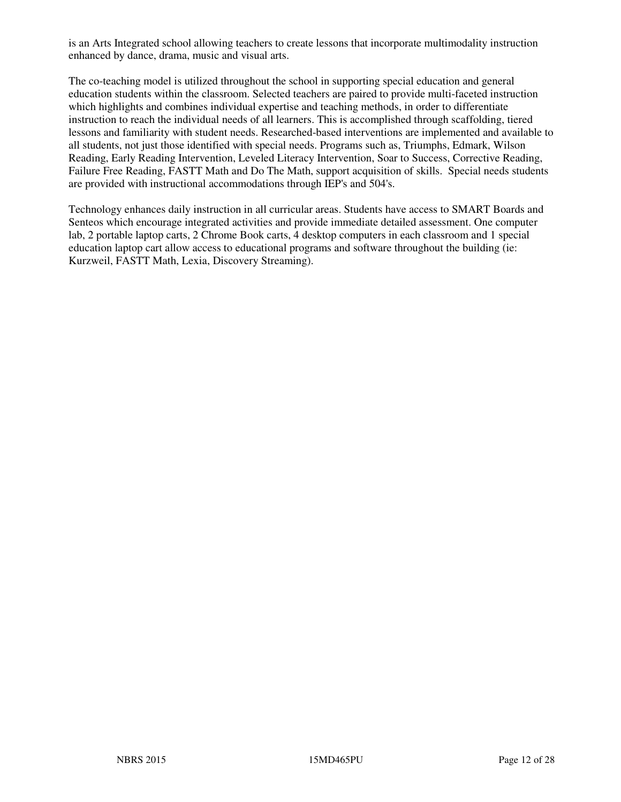is an Arts Integrated school allowing teachers to create lessons that incorporate multimodality instruction enhanced by dance, drama, music and visual arts.

The co-teaching model is utilized throughout the school in supporting special education and general education students within the classroom. Selected teachers are paired to provide multi-faceted instruction which highlights and combines individual expertise and teaching methods, in order to differentiate instruction to reach the individual needs of all learners. This is accomplished through scaffolding, tiered lessons and familiarity with student needs. Researched-based interventions are implemented and available to all students, not just those identified with special needs. Programs such as, Triumphs, Edmark, Wilson Reading, Early Reading Intervention, Leveled Literacy Intervention, Soar to Success, Corrective Reading, Failure Free Reading, FASTT Math and Do The Math, support acquisition of skills. Special needs students are provided with instructional accommodations through IEP's and 504's.

Technology enhances daily instruction in all curricular areas. Students have access to SMART Boards and Senteos which encourage integrated activities and provide immediate detailed assessment. One computer lab, 2 portable laptop carts, 2 Chrome Book carts, 4 desktop computers in each classroom and 1 special education laptop cart allow access to educational programs and software throughout the building (ie: Kurzweil, FASTT Math, Lexia, Discovery Streaming).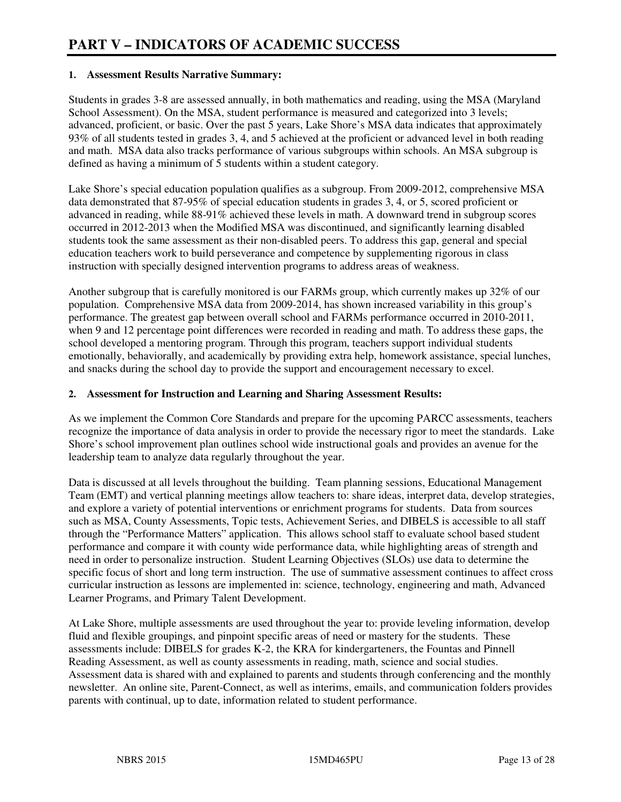#### **1. Assessment Results Narrative Summary:**

Students in grades 3-8 are assessed annually, in both mathematics and reading, using the MSA (Maryland School Assessment). On the MSA, student performance is measured and categorized into 3 levels; advanced, proficient, or basic. Over the past 5 years, Lake Shore's MSA data indicates that approximately 93% of all students tested in grades 3, 4, and 5 achieved at the proficient or advanced level in both reading and math. MSA data also tracks performance of various subgroups within schools. An MSA subgroup is defined as having a minimum of  $\overline{5}$  students within a student category.

Lake Shore's special education population qualifies as a subgroup. From 2009-2012, comprehensive MSA data demonstrated that 87-95% of special education students in grades 3, 4, or 5, scored proficient or advanced in reading, while 88-91% achieved these levels in math. A downward trend in subgroup scores occurred in 2012-2013 when the Modified MSA was discontinued, and significantly learning disabled students took the same assessment as their non-disabled peers. To address this gap, general and special education teachers work to build perseverance and competence by supplementing rigorous in class instruction with specially designed intervention programs to address areas of weakness.

Another subgroup that is carefully monitored is our FARMs group, which currently makes up 32% of our population. Comprehensive MSA data from 2009-2014, has shown increased variability in this group's performance. The greatest gap between overall school and FARMs performance occurred in 2010-2011, when 9 and 12 percentage point differences were recorded in reading and math. To address these gaps, the school developed a mentoring program. Through this program, teachers support individual students emotionally, behaviorally, and academically by providing extra help, homework assistance, special lunches, and snacks during the school day to provide the support and encouragement necessary to excel.

#### **2. Assessment for Instruction and Learning and Sharing Assessment Results:**

As we implement the Common Core Standards and prepare for the upcoming PARCC assessments, teachers recognize the importance of data analysis in order to provide the necessary rigor to meet the standards. Lake Shore's school improvement plan outlines school wide instructional goals and provides an avenue for the leadership team to analyze data regularly throughout the year.

Data is discussed at all levels throughout the building. Team planning sessions, Educational Management Team (EMT) and vertical planning meetings allow teachers to: share ideas, interpret data, develop strategies, and explore a variety of potential interventions or enrichment programs for students. Data from sources such as MSA, County Assessments, Topic tests, Achievement Series, and DIBELS is accessible to all staff through the "Performance Matters" application. This allows school staff to evaluate school based student performance and compare it with county wide performance data, while highlighting areas of strength and need in order to personalize instruction. Student Learning Objectives (SLOs) use data to determine the specific focus of short and long term instruction. The use of summative assessment continues to affect cross curricular instruction as lessons are implemented in: science, technology, engineering and math, Advanced Learner Programs, and Primary Talent Development.

At Lake Shore, multiple assessments are used throughout the year to: provide leveling information, develop fluid and flexible groupings, and pinpoint specific areas of need or mastery for the students. These assessments include: DIBELS for grades K-2, the KRA for kindergarteners, the Fountas and Pinnell Reading Assessment, as well as county assessments in reading, math, science and social studies. Assessment data is shared with and explained to parents and students through conferencing and the monthly newsletter. An online site, Parent-Connect, as well as interims, emails, and communication folders provides parents with continual, up to date, information related to student performance.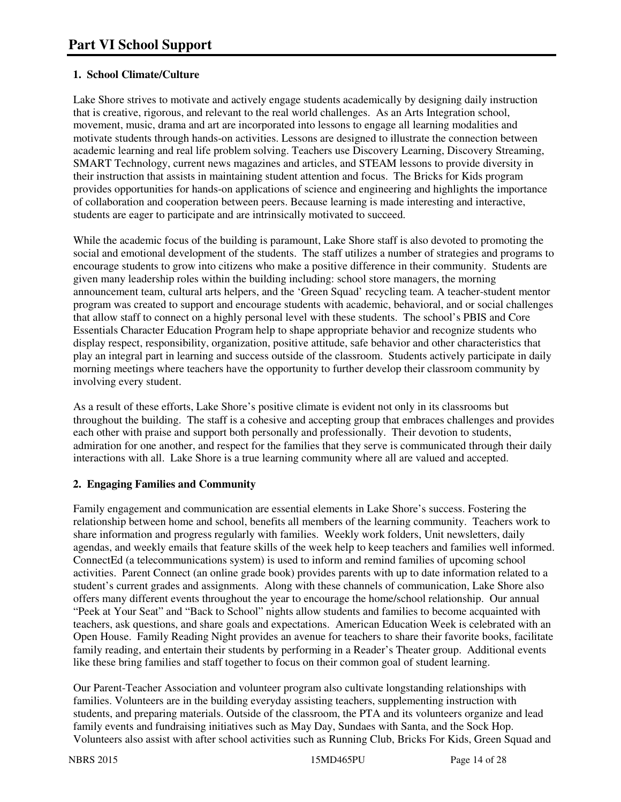# **1. School Climate/Culture**

Lake Shore strives to motivate and actively engage students academically by designing daily instruction that is creative, rigorous, and relevant to the real world challenges. As an Arts Integration school, movement, music, drama and art are incorporated into lessons to engage all learning modalities and motivate students through hands-on activities. Lessons are designed to illustrate the connection between academic learning and real life problem solving. Teachers use Discovery Learning, Discovery Streaming, SMART Technology, current news magazines and articles, and STEAM lessons to provide diversity in their instruction that assists in maintaining student attention and focus. The Bricks for Kids program provides opportunities for hands-on applications of science and engineering and highlights the importance of collaboration and cooperation between peers. Because learning is made interesting and interactive, students are eager to participate and are intrinsically motivated to succeed.

While the academic focus of the building is paramount, Lake Shore staff is also devoted to promoting the social and emotional development of the students. The staff utilizes a number of strategies and programs to encourage students to grow into citizens who make a positive difference in their community. Students are given many leadership roles within the building including: school store managers, the morning announcement team, cultural arts helpers, and the 'Green Squad' recycling team. A teacher-student mentor program was created to support and encourage students with academic, behavioral, and or social challenges that allow staff to connect on a highly personal level with these students. The school's PBIS and Core Essentials Character Education Program help to shape appropriate behavior and recognize students who display respect, responsibility, organization, positive attitude, safe behavior and other characteristics that play an integral part in learning and success outside of the classroom. Students actively participate in daily morning meetings where teachers have the opportunity to further develop their classroom community by involving every student.

As a result of these efforts, Lake Shore's positive climate is evident not only in its classrooms but throughout the building. The staff is a cohesive and accepting group that embraces challenges and provides each other with praise and support both personally and professionally. Their devotion to students, admiration for one another, and respect for the families that they serve is communicated through their daily interactions with all. Lake Shore is a true learning community where all are valued and accepted.

# **2. Engaging Families and Community**

Family engagement and communication are essential elements in Lake Shore's success. Fostering the relationship between home and school, benefits all members of the learning community. Teachers work to share information and progress regularly with families. Weekly work folders, Unit newsletters, daily agendas, and weekly emails that feature skills of the week help to keep teachers and families well informed. ConnectEd (a telecommunications system) is used to inform and remind families of upcoming school activities. Parent Connect (an online grade book) provides parents with up to date information related to a student's current grades and assignments. Along with these channels of communication, Lake Shore also offers many different events throughout the year to encourage the home/school relationship. Our annual "Peek at Your Seat" and "Back to School" nights allow students and families to become acquainted with teachers, ask questions, and share goals and expectations. American Education Week is celebrated with an Open House. Family Reading Night provides an avenue for teachers to share their favorite books, facilitate family reading, and entertain their students by performing in a Reader's Theater group. Additional events like these bring families and staff together to focus on their common goal of student learning.

Our Parent-Teacher Association and volunteer program also cultivate longstanding relationships with families. Volunteers are in the building everyday assisting teachers, supplementing instruction with students, and preparing materials. Outside of the classroom, the PTA and its volunteers organize and lead family events and fundraising initiatives such as May Day, Sundaes with Santa, and the Sock Hop. Volunteers also assist with after school activities such as Running Club, Bricks For Kids, Green Squad and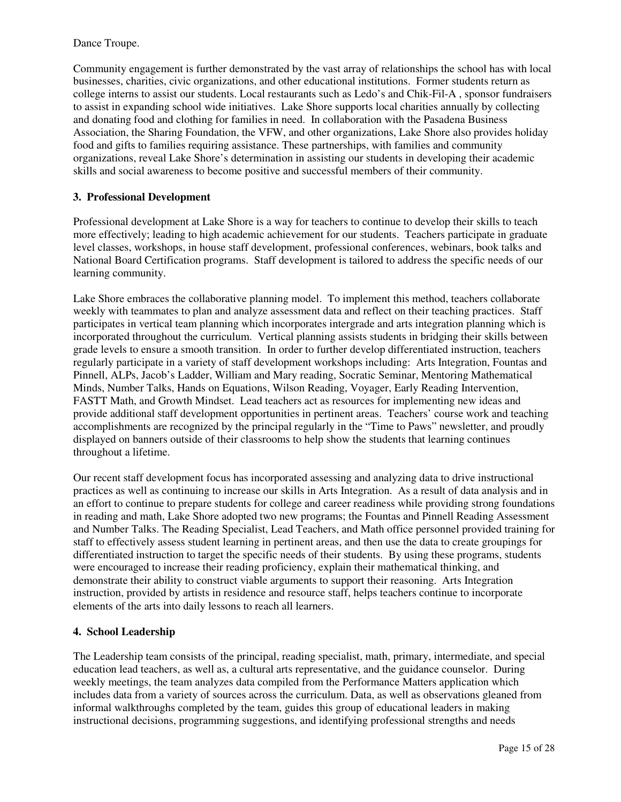#### Dance Troupe.

Community engagement is further demonstrated by the vast array of relationships the school has with local businesses, charities, civic organizations, and other educational institutions. Former students return as college interns to assist our students. Local restaurants such as Ledo's and Chik-Fil-A , sponsor fundraisers to assist in expanding school wide initiatives. Lake Shore supports local charities annually by collecting and donating food and clothing for families in need. In collaboration with the Pasadena Business Association, the Sharing Foundation, the VFW, and other organizations, Lake Shore also provides holiday food and gifts to families requiring assistance. These partnerships, with families and community organizations, reveal Lake Shore's determination in assisting our students in developing their academic skills and social awareness to become positive and successful members of their community.

## **3. Professional Development**

Professional development at Lake Shore is a way for teachers to continue to develop their skills to teach more effectively; leading to high academic achievement for our students. Teachers participate in graduate level classes, workshops, in house staff development, professional conferences, webinars, book talks and National Board Certification programs. Staff development is tailored to address the specific needs of our learning community.

Lake Shore embraces the collaborative planning model. To implement this method, teachers collaborate weekly with teammates to plan and analyze assessment data and reflect on their teaching practices. Staff participates in vertical team planning which incorporates intergrade and arts integration planning which is incorporated throughout the curriculum. Vertical planning assists students in bridging their skills between grade levels to ensure a smooth transition. In order to further develop differentiated instruction, teachers regularly participate in a variety of staff development workshops including: Arts Integration, Fountas and Pinnell, ALPs, Jacob's Ladder, William and Mary reading, Socratic Seminar, Mentoring Mathematical Minds, Number Talks, Hands on Equations, Wilson Reading, Voyager, Early Reading Intervention, FASTT Math, and Growth Mindset. Lead teachers act as resources for implementing new ideas and provide additional staff development opportunities in pertinent areas. Teachers' course work and teaching accomplishments are recognized by the principal regularly in the "Time to Paws" newsletter, and proudly displayed on banners outside of their classrooms to help show the students that learning continues throughout a lifetime.

Our recent staff development focus has incorporated assessing and analyzing data to drive instructional practices as well as continuing to increase our skills in Arts Integration. As a result of data analysis and in an effort to continue to prepare students for college and career readiness while providing strong foundations in reading and math, Lake Shore adopted two new programs; the Fountas and Pinnell Reading Assessment and Number Talks. The Reading Specialist, Lead Teachers, and Math office personnel provided training for staff to effectively assess student learning in pertinent areas, and then use the data to create groupings for differentiated instruction to target the specific needs of their students. By using these programs, students were encouraged to increase their reading proficiency, explain their mathematical thinking, and demonstrate their ability to construct viable arguments to support their reasoning. Arts Integration instruction, provided by artists in residence and resource staff, helps teachers continue to incorporate elements of the arts into daily lessons to reach all learners.

#### **4. School Leadership**

The Leadership team consists of the principal, reading specialist, math, primary, intermediate, and special education lead teachers, as well as, a cultural arts representative, and the guidance counselor. During weekly meetings, the team analyzes data compiled from the Performance Matters application which includes data from a variety of sources across the curriculum. Data, as well as observations gleaned from informal walkthroughs completed by the team, guides this group of educational leaders in making instructional decisions, programming suggestions, and identifying professional strengths and needs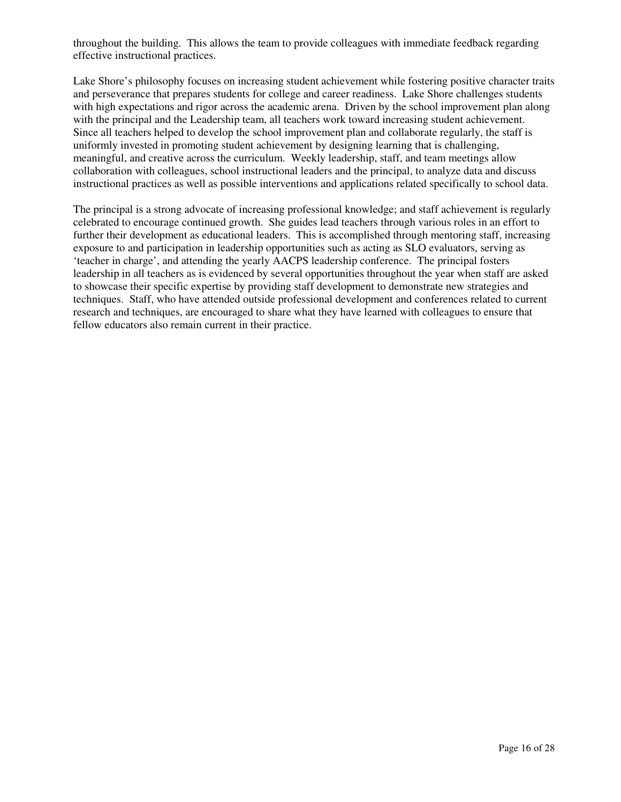throughout the building. This allows the team to provide colleagues with immediate feedback regarding effective instructional practices.

Lake Shore's philosophy focuses on increasing student achievement while fostering positive character traits and perseverance that prepares students for college and career readiness. Lake Shore challenges students with high expectations and rigor across the academic arena. Driven by the school improvement plan along with the principal and the Leadership team, all teachers work toward increasing student achievement. Since all teachers helped to develop the school improvement plan and collaborate regularly, the staff is uniformly invested in promoting student achievement by designing learning that is challenging, meaningful, and creative across the curriculum. Weekly leadership, staff, and team meetings allow collaboration with colleagues, school instructional leaders and the principal, to analyze data and discuss instructional practices as well as possible interventions and applications related specifically to school data.

The principal is a strong advocate of increasing professional knowledge; and staff achievement is regularly celebrated to encourage continued growth. She guides lead teachers through various roles in an effort to further their development as educational leaders. This is accomplished through mentoring staff, increasing exposure to and participation in leadership opportunities such as acting as SLO evaluators, serving as 'teacher in charge', and attending the yearly AACPS leadership conference. The principal fosters leadership in all teachers as is evidenced by several opportunities throughout the year when staff are asked to showcase their specific expertise by providing staff development to demonstrate new strategies and techniques. Staff, who have attended outside professional development and conferences related to current research and techniques, are encouraged to share what they have learned with colleagues to ensure that fellow educators also remain current in their practice.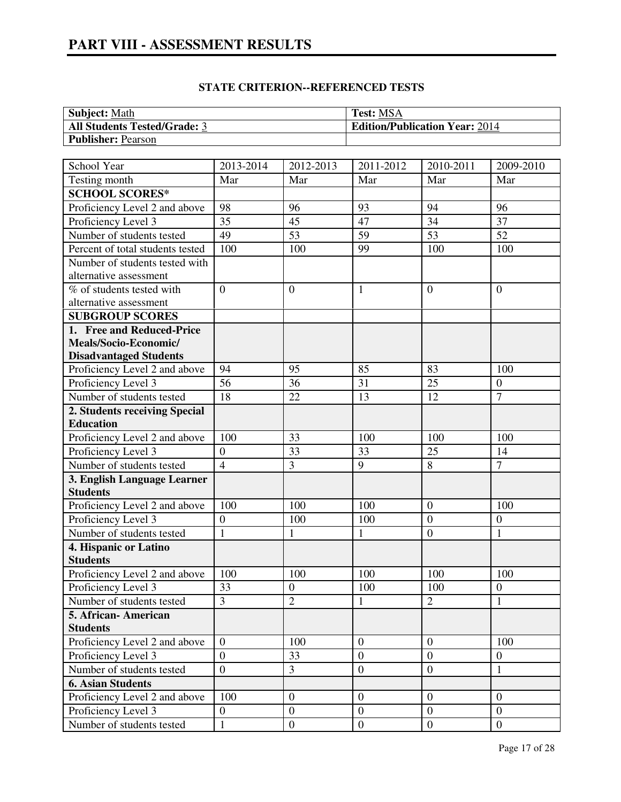# **PART VIII - ASSESSMENT RESULTS**

| <b>Subject:</b> Math                | <b>Test: MSA</b>                      |
|-------------------------------------|---------------------------------------|
| <b>All Students Tested/Grade: 3</b> | <b>Edition/Publication Year: 2014</b> |
| <b>Publisher: Pearson</b>           |                                       |

| School Year                      | 2013-2014       | 2012-2013       | 2011-2012        | 2010-2011        | 2009-2010        |
|----------------------------------|-----------------|-----------------|------------------|------------------|------------------|
| Testing month                    | Mar             | Mar             | Mar              | Mar              | Mar              |
| <b>SCHOOL SCORES*</b>            |                 |                 |                  |                  |                  |
| Proficiency Level 2 and above    | 98              | 96              | 93               | 94               | 96               |
| Proficiency Level 3              | $\overline{35}$ | $\overline{45}$ | $\overline{47}$  | $\overline{34}$  | 37               |
| Number of students tested        | 49              | $\overline{53}$ | $\overline{59}$  | 53               | $\overline{52}$  |
| Percent of total students tested | 100             | 100             | 99               | 100              | 100              |
| Number of students tested with   |                 |                 |                  |                  |                  |
| alternative assessment           |                 |                 |                  |                  |                  |
| % of students tested with        | $\overline{0}$  | $\theta$        | 1                | $\overline{0}$   | $\overline{0}$   |
| alternative assessment           |                 |                 |                  |                  |                  |
| <b>SUBGROUP SCORES</b>           |                 |                 |                  |                  |                  |
| 1. Free and Reduced-Price        |                 |                 |                  |                  |                  |
| Meals/Socio-Economic/            |                 |                 |                  |                  |                  |
| <b>Disadvantaged Students</b>    |                 |                 |                  |                  |                  |
| Proficiency Level 2 and above    | 94              | 95              | 85               | 83               | 100              |
| Proficiency Level 3              | 56              | 36              | 31               | 25               | $\boldsymbol{0}$ |
| Number of students tested        | 18              | 22              | 13               | 12               | $\overline{7}$   |
| 2. Students receiving Special    |                 |                 |                  |                  |                  |
| <b>Education</b>                 |                 |                 |                  |                  |                  |
| Proficiency Level 2 and above    | 100             | 33              | 100              | 100              | 100              |
| Proficiency Level 3              | $\mathbf{0}$    | 33              | 33               | 25               | 14               |
| Number of students tested        | $\overline{4}$  | 3               | 9                | 8                | $\overline{7}$   |
| 3. English Language Learner      |                 |                 |                  |                  |                  |
| <b>Students</b>                  |                 |                 |                  |                  |                  |
| Proficiency Level 2 and above    | 100             | 100             | 100              | $\overline{0}$   | 100              |
| Proficiency Level 3              | $\overline{0}$  | 100             | 100              | $\overline{0}$   | $\boldsymbol{0}$ |
| Number of students tested        | $\mathbf{1}$    | $\mathbf{1}$    | $\mathbf{1}$     | $\boldsymbol{0}$ | $\mathbf{1}$     |
| 4. Hispanic or Latino            |                 |                 |                  |                  |                  |
| <b>Students</b>                  |                 |                 |                  |                  |                  |
| Proficiency Level 2 and above    | 100             | 100             | 100              | 100              | 100              |
| Proficiency Level 3              | 33              | $\overline{0}$  | 100              | 100              | $\boldsymbol{0}$ |
| Number of students tested        | $\overline{3}$  | $\overline{2}$  | 1                | $\overline{2}$   | $\mathbf{1}$     |
| 5. African-American              |                 |                 |                  |                  |                  |
| <b>Students</b>                  |                 |                 |                  |                  |                  |
| Proficiency Level 2 and above    | $\overline{0}$  | 100             | $\mathbf{0}$     | $\theta$         | 100              |
| Proficiency Level 3              | $\overline{0}$  | 33              | $\overline{0}$   | $\overline{0}$   | $\mathbf{0}$     |
| Number of students tested        | $\overline{0}$  | 3               | $\overline{0}$   | $\overline{0}$   | $\mathbf{1}$     |
| <b>6. Asian Students</b>         |                 |                 |                  |                  |                  |
| Proficiency Level 2 and above    | 100             | $\mathbf{0}$    | $\boldsymbol{0}$ | $\mathbf{0}$     | $\overline{0}$   |
| Proficiency Level 3              | $\overline{0}$  | $\mathbf{0}$    | $\overline{0}$   | $\overline{0}$   | $\overline{0}$   |
| Number of students tested        | $\mathbf{1}$    | $\mathbf{0}$    | $\overline{0}$   | $\overline{0}$   | $\overline{0}$   |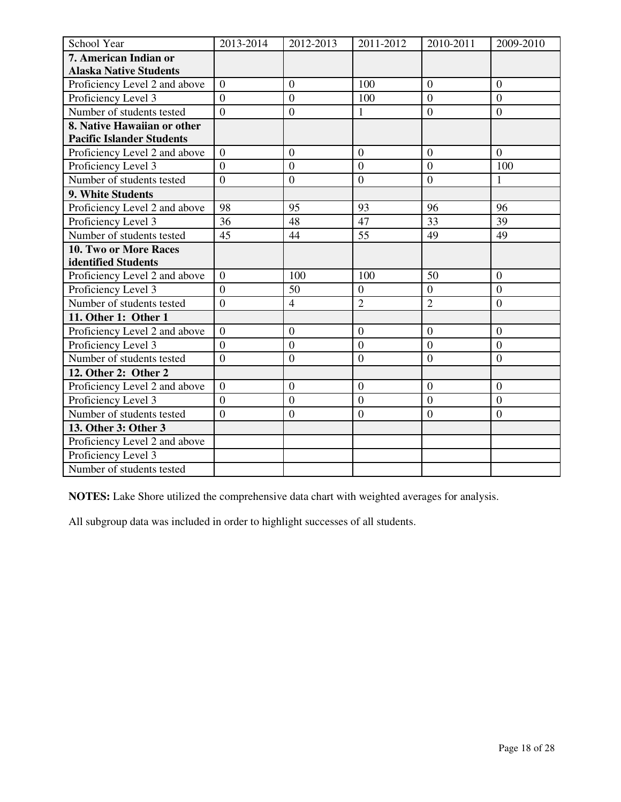| School Year                      | 2013-2014        | 2012-2013        | 2011-2012        | 2010-2011        | 2009-2010        |
|----------------------------------|------------------|------------------|------------------|------------------|------------------|
| 7. American Indian or            |                  |                  |                  |                  |                  |
| <b>Alaska Native Students</b>    |                  |                  |                  |                  |                  |
| Proficiency Level 2 and above    | $\overline{0}$   | $\overline{0}$   | 100              | $\theta$         | $\overline{0}$   |
| Proficiency Level 3              | $\theta$         | $\overline{0}$   | 100              | $\overline{0}$   | $\Omega$         |
| Number of students tested        | $\overline{0}$   | $\mathbf{0}$     | $\mathbf{1}$     | $\boldsymbol{0}$ | $\boldsymbol{0}$ |
| 8. Native Hawaiian or other      |                  |                  |                  |                  |                  |
| <b>Pacific Islander Students</b> |                  |                  |                  |                  |                  |
| Proficiency Level 2 and above    | $\overline{0}$   | $\overline{0}$   | $\overline{0}$   | $\overline{0}$   | $\overline{0}$   |
| Proficiency Level 3              | $\overline{0}$   | $\overline{0}$   | $\overline{0}$   | $\boldsymbol{0}$ | 100              |
| Number of students tested        | $\boldsymbol{0}$ | $\mathbf{0}$     | $\boldsymbol{0}$ | $\boldsymbol{0}$ | $\mathbf{1}$     |
| 9. White Students                |                  |                  |                  |                  |                  |
| Proficiency Level 2 and above    | 98               | 95               | 93               | 96               | 96               |
| Proficiency Level 3              | 36               | 48               | 47               | 33               | 39               |
| Number of students tested        | 45               | 44               | $\overline{55}$  | 49               | 49               |
| 10. Two or More Races            |                  |                  |                  |                  |                  |
| identified Students              |                  |                  |                  |                  |                  |
| Proficiency Level 2 and above    | $\overline{0}$   | 100              | 100              | 50               | $\overline{0}$   |
| Proficiency Level 3              | $\overline{0}$   | 50               | $\boldsymbol{0}$ | $\boldsymbol{0}$ | $\boldsymbol{0}$ |
| Number of students tested        | $\overline{0}$   | $\overline{4}$   | $\overline{2}$   | $\overline{2}$   | $\boldsymbol{0}$ |
| 11. Other 1: Other 1             |                  |                  |                  |                  |                  |
| Proficiency Level 2 and above    | $\overline{0}$   | $\overline{0}$   | $\boldsymbol{0}$ | $\boldsymbol{0}$ | $\boldsymbol{0}$ |
| Proficiency Level 3              | $\mathbf{0}$     | $\boldsymbol{0}$ | $\boldsymbol{0}$ | $\overline{0}$   | $\overline{0}$   |
| Number of students tested        | $\overline{0}$   | $\overline{0}$   | $\overline{0}$   | $\mathbf{0}$     | $\mathbf{0}$     |
| 12. Other 2: Other 2             |                  |                  |                  |                  |                  |
| Proficiency Level 2 and above    | $\overline{0}$   | $\overline{0}$   | $\overline{0}$   | $\overline{0}$   | $\overline{0}$   |
| Proficiency Level 3              | $\overline{0}$   | $\overline{0}$   | $\theta$         | $\overline{0}$   | $\theta$         |
| Number of students tested        | $\overline{0}$   | $\boldsymbol{0}$ | $\overline{0}$   | $\overline{0}$   | $\mathbf{0}$     |
| 13. Other 3: Other 3             |                  |                  |                  |                  |                  |
| Proficiency Level 2 and above    |                  |                  |                  |                  |                  |
| Proficiency Level 3              |                  |                  |                  |                  |                  |
| Number of students tested        |                  |                  |                  |                  |                  |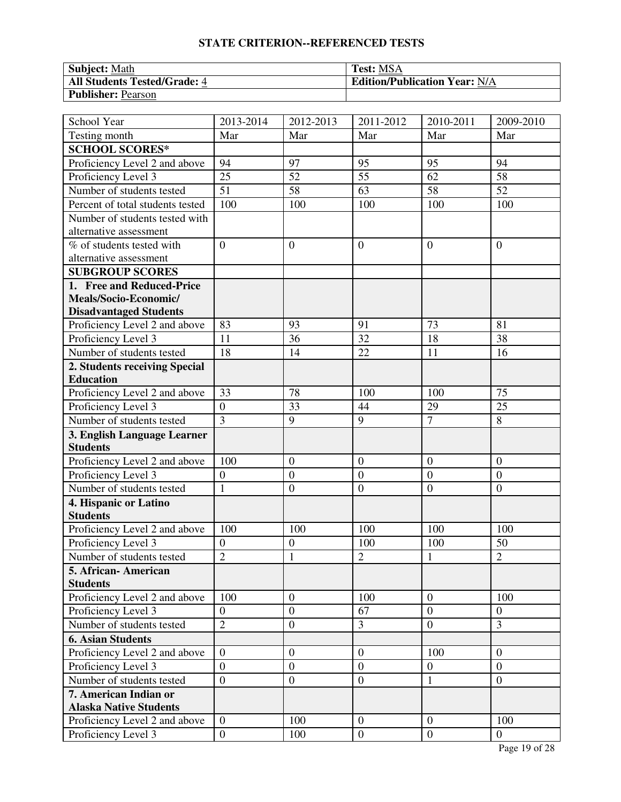| <b>Subject:</b> Math                | <b>Test: MSA</b>                     |
|-------------------------------------|--------------------------------------|
| <b>All Students Tested/Grade: 4</b> | <b>Edition/Publication Year: N/A</b> |
| <b>Publisher: Pearson</b>           |                                      |

| School Year                                            | 2013-2014        | 2012-2013        | 2011-2012        | 2010-2011        | 2009-2010        |
|--------------------------------------------------------|------------------|------------------|------------------|------------------|------------------|
| Testing month                                          | Mar              | Mar              | Mar              | Mar              | Mar              |
| <b>SCHOOL SCORES*</b>                                  |                  |                  |                  |                  |                  |
| Proficiency Level 2 and above                          | 94               | 97               | 95               | 95               | 94               |
| Proficiency Level 3                                    | 25               | 52               | 55               | 62               | 58               |
| Number of students tested                              | $\overline{51}$  | $\overline{58}$  | 63               | 58               | 52               |
| Percent of total students tested                       | 100              | 100              | 100              | 100              | 100              |
| Number of students tested with                         |                  |                  |                  |                  |                  |
| alternative assessment                                 |                  |                  |                  |                  |                  |
| % of students tested with                              | $\theta$         | $\overline{0}$   | $\overline{0}$   | $\mathbf{0}$     | $\theta$         |
| alternative assessment                                 |                  |                  |                  |                  |                  |
| <b>SUBGROUP SCORES</b>                                 |                  |                  |                  |                  |                  |
| 1. Free and Reduced-Price                              |                  |                  |                  |                  |                  |
| Meals/Socio-Economic/                                  |                  |                  |                  |                  |                  |
| <b>Disadvantaged Students</b>                          |                  |                  |                  |                  |                  |
| Proficiency Level 2 and above                          | 83               | 93               | 91               | 73               | 81               |
| Proficiency Level 3                                    | 11               | 36               | 32               | 18               | 38               |
| Number of students tested                              | 18               | 14               | 22               | 11               | 16               |
| 2. Students receiving Special                          |                  |                  |                  |                  |                  |
| <b>Education</b>                                       |                  |                  |                  |                  |                  |
| Proficiency Level 2 and above                          | 33               | 78               | 100              | 100              | 75               |
| Proficiency Level 3                                    | $\overline{0}$   | 33               | 44               | 29               | 25               |
| Number of students tested                              | $\overline{3}$   | 9                | 9                | $\overline{7}$   | 8                |
| 3. English Language Learner                            |                  |                  |                  |                  |                  |
| <b>Students</b>                                        |                  |                  |                  |                  |                  |
| Proficiency Level 2 and above                          | 100              | $\overline{0}$   | $\mathbf{0}$     | $\boldsymbol{0}$ | $\theta$         |
| Proficiency Level 3                                    | $\overline{0}$   | $\boldsymbol{0}$ | $\boldsymbol{0}$ | $\overline{0}$   | $\overline{0}$   |
| Number of students tested                              | $\mathbf{1}$     | $\boldsymbol{0}$ | $\boldsymbol{0}$ | $\overline{0}$   | $\boldsymbol{0}$ |
| 4. Hispanic or Latino                                  |                  |                  |                  |                  |                  |
| <b>Students</b>                                        |                  |                  |                  |                  |                  |
| Proficiency Level 2 and above                          | 100              | 100              | 100              | 100              | 100              |
| Proficiency Level 3                                    | $\boldsymbol{0}$ | $\mathbf{0}$     | 100              | 100              | 50               |
| Number of students tested                              | $\overline{2}$   | $\mathbf{1}$     | $\overline{2}$   | $\mathbf{1}$     | $\overline{2}$   |
| 5. African - American                                  |                  |                  |                  |                  |                  |
| <b>Students</b>                                        | 100              | $\theta$         |                  | $\overline{0}$   | 100              |
| Proficiency Level 2 and above<br>Proficiency Level 3   |                  | $\boldsymbol{0}$ | 100<br>67        | $\overline{0}$   |                  |
|                                                        | $\boldsymbol{0}$ |                  |                  |                  | $\boldsymbol{0}$ |
| Number of students tested                              | $\overline{2}$   | $\overline{0}$   | $\mathfrak{Z}$   | $\overline{0}$   | $\overline{3}$   |
| <b>6. Asian Students</b>                               |                  |                  |                  |                  |                  |
| Proficiency Level 2 and above                          | $\overline{0}$   | $\boldsymbol{0}$ | $\overline{0}$   | 100              | $\theta$         |
| Proficiency Level 3                                    | $\overline{0}$   | $\boldsymbol{0}$ | $\mathbf{0}$     | $\overline{0}$   | $\boldsymbol{0}$ |
| Number of students tested                              | $\boldsymbol{0}$ | $\boldsymbol{0}$ | $\overline{0}$   | 1                | $\mathbf{0}$     |
| 7. American Indian or<br><b>Alaska Native Students</b> |                  |                  |                  |                  |                  |
| Proficiency Level 2 and above                          | $\overline{0}$   | 100              | $\overline{0}$   | $\boldsymbol{0}$ | 100              |
| Proficiency Level 3                                    | $\overline{0}$   | 100              | $\overline{0}$   | $\overline{0}$   | $\overline{0}$   |
|                                                        |                  |                  |                  |                  |                  |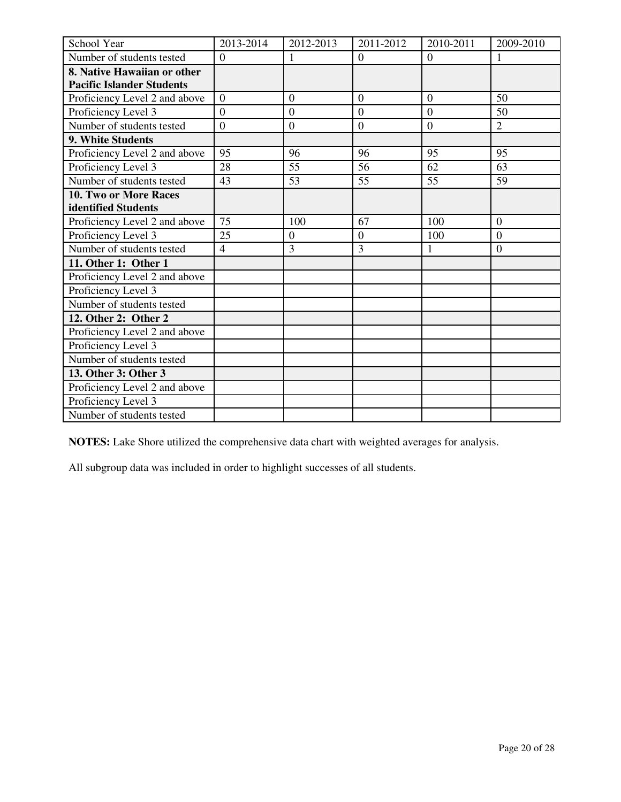| School Year                      | 2013-2014      | 2012-2013        | 2011-2012      | 2010-2011      | 2009-2010        |
|----------------------------------|----------------|------------------|----------------|----------------|------------------|
| Number of students tested        | $\overline{0}$ |                  | $\overline{0}$ | $\overline{0}$ |                  |
| 8. Native Hawaiian or other      |                |                  |                |                |                  |
| <b>Pacific Islander Students</b> |                |                  |                |                |                  |
| Proficiency Level 2 and above    | $\theta$       | $\overline{0}$   | $\Omega$       | $\overline{0}$ | 50               |
| Proficiency Level 3              | $\theta$       | $\overline{0}$   | $\theta$       | $\overline{0}$ | 50               |
| Number of students tested        | $\overline{0}$ | $\boldsymbol{0}$ | $\mathbf{0}$   | $\overline{0}$ | $\overline{2}$   |
| 9. White Students                |                |                  |                |                |                  |
| Proficiency Level 2 and above    | 95             | 96               | 96             | 95             | 95               |
| Proficiency Level 3              | 28             | 55               | 56             | 62             | 63               |
| Number of students tested        | 43             | 53               | 55             | 55             | 59               |
| <b>10. Two or More Races</b>     |                |                  |                |                |                  |
| identified Students              |                |                  |                |                |                  |
| Proficiency Level 2 and above    | 75             | 100              | 67             | 100            | $\overline{0}$   |
| Proficiency Level 3              | 25             | $\overline{0}$   | $\overline{0}$ | 100            | $\boldsymbol{0}$ |
| Number of students tested        | $\overline{4}$ | 3                | $\overline{3}$ | 1              | $\overline{0}$   |
| 11. Other 1: Other 1             |                |                  |                |                |                  |
| Proficiency Level 2 and above    |                |                  |                |                |                  |
| Proficiency Level 3              |                |                  |                |                |                  |
| Number of students tested        |                |                  |                |                |                  |
| 12. Other 2: Other 2             |                |                  |                |                |                  |
| Proficiency Level 2 and above    |                |                  |                |                |                  |
| Proficiency Level 3              |                |                  |                |                |                  |
| Number of students tested        |                |                  |                |                |                  |
| 13. Other 3: Other 3             |                |                  |                |                |                  |
| Proficiency Level 2 and above    |                |                  |                |                |                  |
| Proficiency Level 3              |                |                  |                |                |                  |
| Number of students tested        |                |                  |                |                |                  |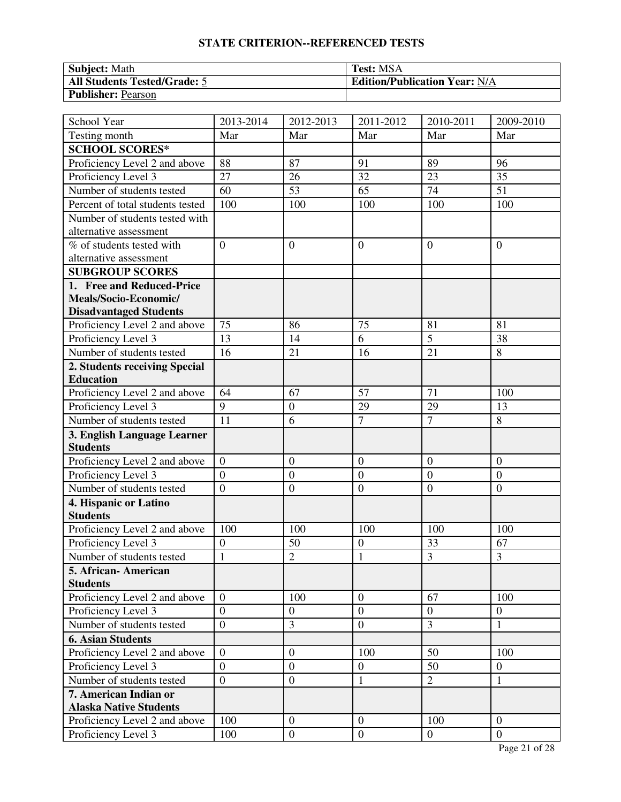| <b>Subject: Math</b>                | <b>Test: MSA</b>                     |
|-------------------------------------|--------------------------------------|
| <b>All Students Tested/Grade: 5</b> | <b>Edition/Publication Year: N/A</b> |
| <b>Publisher: Pearson</b>           |                                      |

| School Year                      | 2013-2014      | 2012-2013        | 2011-2012        | 2010-2011        | 2009-2010        |
|----------------------------------|----------------|------------------|------------------|------------------|------------------|
| Testing month                    | Mar            | Mar              | Mar              | Mar              | Mar              |
| <b>SCHOOL SCORES*</b>            |                |                  |                  |                  |                  |
| Proficiency Level 2 and above    | 88             | 87               | 91               | 89               | 96               |
| Proficiency Level 3              | 27             | 26               | 32               | 23               | 35               |
| Number of students tested        | 60             | 53               | 65               | $\overline{74}$  | 51               |
| Percent of total students tested | 100            | 100              | 100              | 100              | 100              |
| Number of students tested with   |                |                  |                  |                  |                  |
| alternative assessment           |                |                  |                  |                  |                  |
| % of students tested with        | $\overline{0}$ | $\overline{0}$   | $\overline{0}$   | $\overline{0}$   | $\theta$         |
| alternative assessment           |                |                  |                  |                  |                  |
| <b>SUBGROUP SCORES</b>           |                |                  |                  |                  |                  |
| 1. Free and Reduced-Price        |                |                  |                  |                  |                  |
| Meals/Socio-Economic/            |                |                  |                  |                  |                  |
| <b>Disadvantaged Students</b>    |                |                  |                  |                  |                  |
| Proficiency Level 2 and above    | 75             | 86               | 75               | 81               | 81               |
| Proficiency Level 3              | 13             | 14               | 6                | $\overline{5}$   | 38               |
| Number of students tested        | 16             | 21               | 16               | 21               | 8                |
| 2. Students receiving Special    |                |                  |                  |                  |                  |
| <b>Education</b>                 |                |                  |                  |                  |                  |
| Proficiency Level 2 and above    | 64             | 67               | 57               | 71               | 100              |
| Proficiency Level 3              | 9              | $\boldsymbol{0}$ | 29               | 29               | 13               |
| Number of students tested        | 11             | 6                | $\overline{7}$   | $\overline{7}$   | 8                |
| 3. English Language Learner      |                |                  |                  |                  |                  |
| <b>Students</b>                  |                |                  |                  |                  |                  |
| Proficiency Level 2 and above    | $\overline{0}$ | $\boldsymbol{0}$ | $\mathbf{0}$     | $\boldsymbol{0}$ | $\overline{0}$   |
| Proficiency Level 3              | $\overline{0}$ | $\boldsymbol{0}$ | $\mathbf{0}$     | $\overline{0}$   | $\overline{0}$   |
| Number of students tested        | $\overline{0}$ | $\boldsymbol{0}$ | $\boldsymbol{0}$ | $\overline{0}$   | $\theta$         |
| 4. Hispanic or Latino            |                |                  |                  |                  |                  |
| <b>Students</b>                  |                |                  |                  |                  |                  |
| Proficiency Level 2 and above    | 100            | 100              | 100              | 100              | 100              |
| Proficiency Level 3              | $\overline{0}$ | 50               | $\mathbf{0}$     | 33               | 67               |
| Number of students tested        | $\mathbf{1}$   | $\overline{2}$   | $\mathbf{1}$     | 3                | 3                |
| 5. African- American             |                |                  |                  |                  |                  |
| <b>Students</b>                  |                |                  |                  |                  |                  |
| Proficiency Level 2 and above    | $\overline{0}$ | 100              | $\mathbf{0}$     | 67               | 100              |
| Proficiency Level 3              | $\overline{0}$ | $\boldsymbol{0}$ | $\mathbf{0}$     | $\overline{0}$   | $\boldsymbol{0}$ |
| Number of students tested        | $\overline{0}$ | 3                | $\overline{0}$   | $\overline{3}$   | $\mathbf{1}$     |
| <b>6. Asian Students</b>         |                |                  |                  |                  |                  |
| Proficiency Level 2 and above    | $\overline{0}$ | $\boldsymbol{0}$ | 100              | 50               | 100              |
| Proficiency Level 3              | $\overline{0}$ | $\boldsymbol{0}$ | $\mathbf{0}$     | 50               | $\boldsymbol{0}$ |
| Number of students tested        | $\overline{0}$ | $\boldsymbol{0}$ | $\mathbf{1}$     | $\overline{2}$   | $\mathbf{1}$     |
| 7. American Indian or            |                |                  |                  |                  |                  |
| <b>Alaska Native Students</b>    |                |                  |                  |                  |                  |
| Proficiency Level 2 and above    | 100            | $\overline{0}$   | $\overline{0}$   | 100              | $\theta$         |
| Proficiency Level 3              | 100            | $\boldsymbol{0}$ | $\boldsymbol{0}$ | $\overline{0}$   | $\overline{0}$   |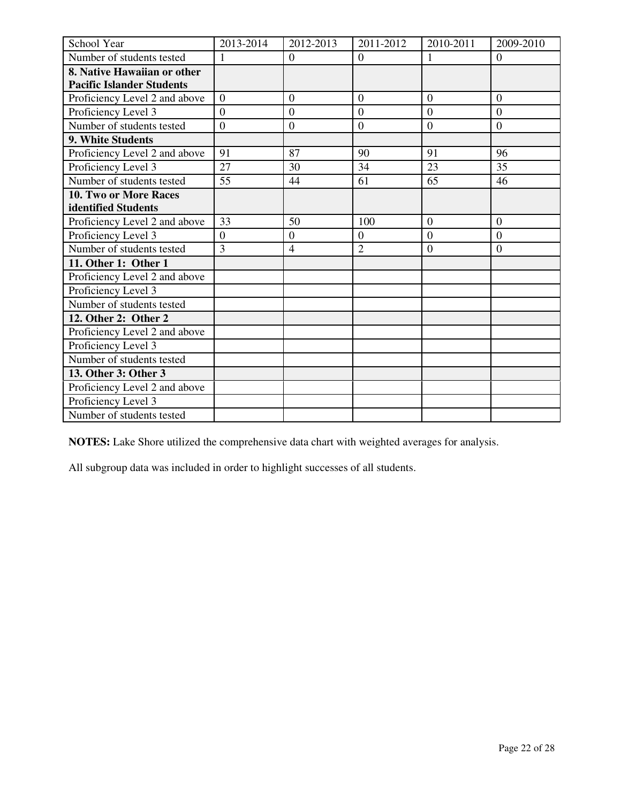| School Year                      | 2013-2014      | 2012-2013        | 2011-2012      | 2010-2011        | 2009-2010        |
|----------------------------------|----------------|------------------|----------------|------------------|------------------|
| Number of students tested        |                | $\overline{0}$   | $\overline{0}$ |                  | $\Omega$         |
| 8. Native Hawaiian or other      |                |                  |                |                  |                  |
| <b>Pacific Islander Students</b> |                |                  |                |                  |                  |
| Proficiency Level 2 and above    | $\theta$       | $\overline{0}$   | $\Omega$       | $\overline{0}$   | $\overline{0}$   |
| Proficiency Level 3              | $\theta$       | $\overline{0}$   | $\theta$       | $\overline{0}$   | $\overline{0}$   |
| Number of students tested        | $\overline{0}$ | $\boldsymbol{0}$ | $\mathbf{0}$   | $\overline{0}$   | $\boldsymbol{0}$ |
| 9. White Students                |                |                  |                |                  |                  |
| Proficiency Level 2 and above    | 91             | 87               | 90             | 91               | 96               |
| Proficiency Level 3              | 27             | 30               | 34             | 23               | 35               |
| Number of students tested        | 55             | 44               | 61             | 65               | 46               |
| <b>10. Two or More Races</b>     |                |                  |                |                  |                  |
| identified Students              |                |                  |                |                  |                  |
| Proficiency Level 2 and above    | 33             | 50               | 100            | $\overline{0}$   | $\overline{0}$   |
| Proficiency Level 3              | $\overline{0}$ | $\boldsymbol{0}$ | $\overline{0}$ | $\boldsymbol{0}$ | $\boldsymbol{0}$ |
| Number of students tested        | $\overline{3}$ | $\overline{4}$   | $\overline{2}$ | $\overline{0}$   | $\overline{0}$   |
| 11. Other 1: Other 1             |                |                  |                |                  |                  |
| Proficiency Level 2 and above    |                |                  |                |                  |                  |
| Proficiency Level 3              |                |                  |                |                  |                  |
| Number of students tested        |                |                  |                |                  |                  |
| 12. Other 2: Other 2             |                |                  |                |                  |                  |
| Proficiency Level 2 and above    |                |                  |                |                  |                  |
| Proficiency Level 3              |                |                  |                |                  |                  |
| Number of students tested        |                |                  |                |                  |                  |
| 13. Other 3: Other 3             |                |                  |                |                  |                  |
| Proficiency Level 2 and above    |                |                  |                |                  |                  |
| Proficiency Level 3              |                |                  |                |                  |                  |
| Number of students tested        |                |                  |                |                  |                  |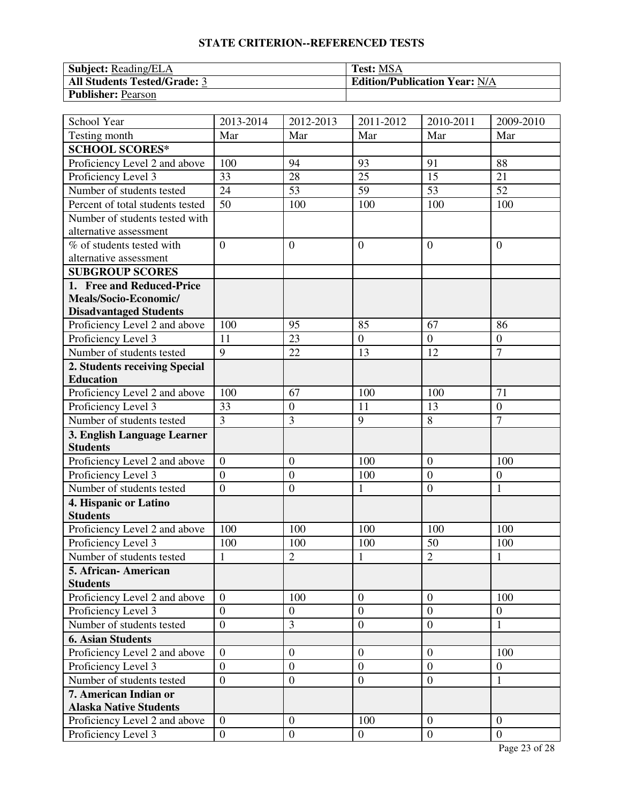| <b>Subject:</b> Reading/ELA         | <b>Test: MSA</b>                     |
|-------------------------------------|--------------------------------------|
| <b>All Students Tested/Grade: 3</b> | <b>Edition/Publication Year: N/A</b> |
| <b>Publisher: Pearson</b>           |                                      |

| School Year                      | 2013-2014        | 2012-2013        | 2011-2012      | 2010-2011        | 2009-2010        |
|----------------------------------|------------------|------------------|----------------|------------------|------------------|
| Testing month                    | Mar              | Mar              | Mar            | Mar              | Mar              |
| <b>SCHOOL SCORES*</b>            |                  |                  |                |                  |                  |
| Proficiency Level 2 and above    | 100              | 94               | 93             | 91               | 88               |
| Proficiency Level 3              | 33               | 28               | 25             | 15               | 21               |
| Number of students tested        | 24               | 53               | 59             | 53               | 52               |
| Percent of total students tested | 50               | 100              | 100            | 100              | 100              |
| Number of students tested with   |                  |                  |                |                  |                  |
| alternative assessment           |                  |                  |                |                  |                  |
| % of students tested with        | $\overline{0}$   | $\overline{0}$   | $\overline{0}$ | $\overline{0}$   | $\theta$         |
| alternative assessment           |                  |                  |                |                  |                  |
| <b>SUBGROUP SCORES</b>           |                  |                  |                |                  |                  |
| 1. Free and Reduced-Price        |                  |                  |                |                  |                  |
| Meals/Socio-Economic/            |                  |                  |                |                  |                  |
| <b>Disadvantaged Students</b>    |                  |                  |                |                  |                  |
| Proficiency Level 2 and above    | 100              | 95               | 85             | 67               | 86               |
| Proficiency Level 3              | 11               | 23               | $\overline{0}$ | $\overline{0}$   | $\overline{0}$   |
| Number of students tested        | 9                | 22               | 13             | 12               | $\overline{7}$   |
| 2. Students receiving Special    |                  |                  |                |                  |                  |
| <b>Education</b>                 |                  |                  |                |                  |                  |
| Proficiency Level 2 and above    | 100              | 67               | 100            | 100              | 71               |
| Proficiency Level 3              | 33               | $\boldsymbol{0}$ | 11             | 13               | $\overline{0}$   |
| Number of students tested        | $\overline{3}$   | 3                | 9              | 8                | $\overline{7}$   |
| 3. English Language Learner      |                  |                  |                |                  |                  |
| <b>Students</b>                  |                  |                  |                |                  |                  |
| Proficiency Level 2 and above    | $\boldsymbol{0}$ | $\overline{0}$   | 100            | $\boldsymbol{0}$ | 100              |
| Proficiency Level 3              | $\overline{0}$   | $\mathbf{0}$     | 100            | $\overline{0}$   | $\overline{0}$   |
| Number of students tested        | $\overline{0}$   | $\overline{0}$   | $\mathbf{1}$   | $\overline{0}$   | $\mathbf{1}$     |
| 4. Hispanic or Latino            |                  |                  |                |                  |                  |
| <b>Students</b>                  |                  |                  |                |                  |                  |
| Proficiency Level 2 and above    | 100              | 100              | 100            | 100              | 100              |
| Proficiency Level 3              | 100              | 100              | 100            | 50               | 100              |
| Number of students tested        | $\mathbf{1}$     | $\overline{2}$   | $\mathbf{1}$   | $\overline{2}$   | $\mathbf{1}$     |
| 5. African-American              |                  |                  |                |                  |                  |
| <b>Students</b>                  |                  |                  |                |                  |                  |
| Proficiency Level 2 and above    | $\mathbf{0}$     | 100              | $\overline{0}$ | $\overline{0}$   | 100              |
| Proficiency Level 3              | $\overline{0}$   | $\boldsymbol{0}$ | $\mathbf{0}$   | $\overline{0}$   | $\boldsymbol{0}$ |
| Number of students tested        | $\boldsymbol{0}$ | 3                | $\overline{0}$ | $\boldsymbol{0}$ | $\mathbf{1}$     |
| <b>6. Asian Students</b>         |                  |                  |                |                  |                  |
| Proficiency Level 2 and above    | $\overline{0}$   | $\overline{0}$   | $\overline{0}$ | $\overline{0}$   | 100              |
| Proficiency Level 3              | $\overline{0}$   | $\boldsymbol{0}$ | $\overline{0}$ | $\overline{0}$   | $\overline{0}$   |
| Number of students tested        | $\overline{0}$   | $\boldsymbol{0}$ | $\overline{0}$ | $\boldsymbol{0}$ | 1                |
| 7. American Indian or            |                  |                  |                |                  |                  |
| <b>Alaska Native Students</b>    |                  |                  |                |                  |                  |
| Proficiency Level 2 and above    | $\overline{0}$   | $\boldsymbol{0}$ | 100            | $\overline{0}$   | $\boldsymbol{0}$ |
| Proficiency Level 3              | $\overline{0}$   | $\boldsymbol{0}$ | $\mathbf{0}$   | $\overline{0}$   | $\overline{0}$   |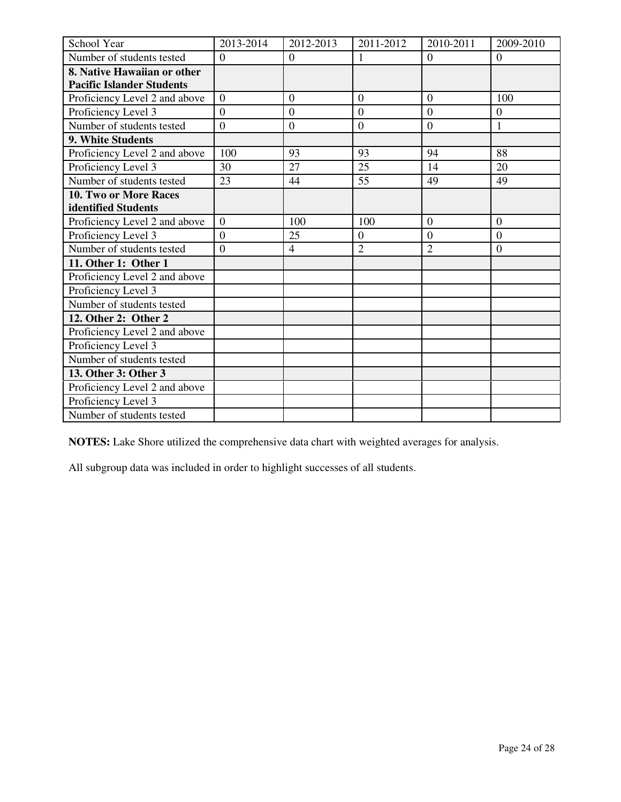| School Year                      | 2013-2014      | 2012-2013        | 2011-2012      | 2010-2011        | 2009-2010        |
|----------------------------------|----------------|------------------|----------------|------------------|------------------|
| Number of students tested        | $\overline{0}$ | $\overline{0}$   |                | $\overline{0}$   | $\overline{0}$   |
| 8. Native Hawaiian or other      |                |                  |                |                  |                  |
| <b>Pacific Islander Students</b> |                |                  |                |                  |                  |
| Proficiency Level 2 and above    | $\theta$       | $\overline{0}$   | $\Omega$       | $\overline{0}$   | 100              |
| Proficiency Level 3              | $\theta$       | $\overline{0}$   | $\theta$       | $\overline{0}$   | $\overline{0}$   |
| Number of students tested        | $\overline{0}$ | $\boldsymbol{0}$ | $\mathbf{0}$   | $\theta$         | $\mathbf{1}$     |
| 9. White Students                |                |                  |                |                  |                  |
| Proficiency Level 2 and above    | 100            | 93               | 93             | 94               | 88               |
| Proficiency Level 3              | 30             | 27               | 25             | 14               | 20               |
| Number of students tested        | 23             | 44               | 55             | 49               | 49               |
| <b>10. Two or More Races</b>     |                |                  |                |                  |                  |
| identified Students              |                |                  |                |                  |                  |
| Proficiency Level 2 and above    | $\overline{0}$ | 100              | 100            | $\theta$         | $\overline{0}$   |
| Proficiency Level 3              | $\overline{0}$ | 25               | $\overline{0}$ | $\boldsymbol{0}$ | $\boldsymbol{0}$ |
| Number of students tested        | $\overline{0}$ | $\overline{4}$   | $\overline{2}$ | $\overline{2}$   | $\overline{0}$   |
| 11. Other 1: Other 1             |                |                  |                |                  |                  |
| Proficiency Level 2 and above    |                |                  |                |                  |                  |
| Proficiency Level 3              |                |                  |                |                  |                  |
| Number of students tested        |                |                  |                |                  |                  |
| 12. Other 2: Other 2             |                |                  |                |                  |                  |
| Proficiency Level 2 and above    |                |                  |                |                  |                  |
| Proficiency Level 3              |                |                  |                |                  |                  |
| Number of students tested        |                |                  |                |                  |                  |
| 13. Other 3: Other 3             |                |                  |                |                  |                  |
| Proficiency Level 2 and above    |                |                  |                |                  |                  |
| Proficiency Level 3              |                |                  |                |                  |                  |
| Number of students tested        |                |                  |                |                  |                  |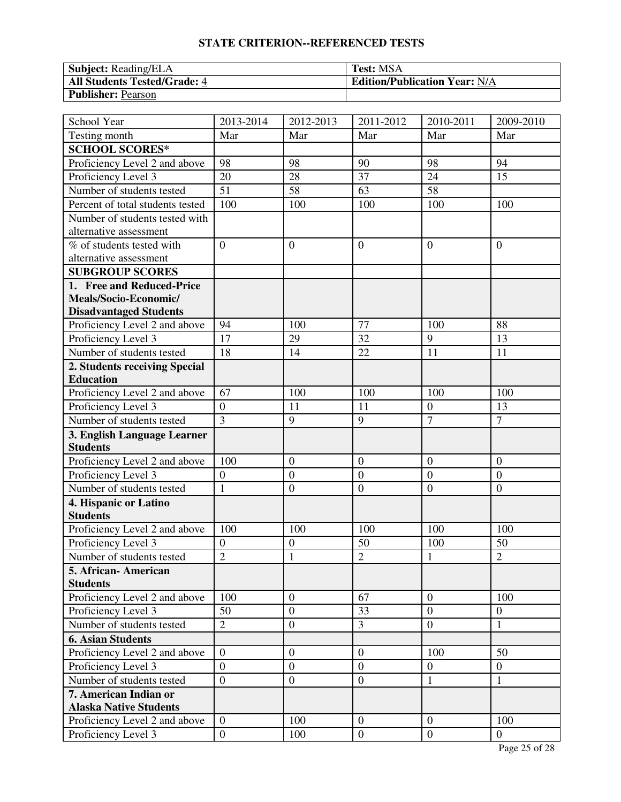| <b>Subject: Reading/ELA</b>         | <b>Test: MSA</b>                     |
|-------------------------------------|--------------------------------------|
| <b>All Students Tested/Grade: 4</b> | <b>Edition/Publication Year: N/A</b> |
| <b>Publisher: Pearson</b>           |                                      |

| School Year                                      | 2013-2014               | 2012-2013                      | 2011-2012        | 2010-2011        | 2009-2010        |
|--------------------------------------------------|-------------------------|--------------------------------|------------------|------------------|------------------|
| Testing month                                    | Mar                     | Mar                            | Mar              | Mar              | Mar              |
| <b>SCHOOL SCORES*</b>                            |                         |                                |                  |                  |                  |
| Proficiency Level 2 and above                    | 98                      | 98                             | 90               | 98               | 94               |
| Proficiency Level 3                              | 20                      | 28                             | 37               | 24               | 15               |
| Number of students tested                        | $\overline{51}$         | 58                             | 63               | 58               |                  |
| Percent of total students tested                 | 100                     | 100                            | 100              | 100              | 100              |
| Number of students tested with                   |                         |                                |                  |                  |                  |
| alternative assessment                           |                         |                                |                  |                  |                  |
| % of students tested with                        | $\overline{0}$          | $\overline{0}$                 | $\overline{0}$   | $\overline{0}$   | $\overline{0}$   |
| alternative assessment                           |                         |                                |                  |                  |                  |
| <b>SUBGROUP SCORES</b>                           |                         |                                |                  |                  |                  |
| 1. Free and Reduced-Price                        |                         |                                |                  |                  |                  |
| Meals/Socio-Economic/                            |                         |                                |                  |                  |                  |
| <b>Disadvantaged Students</b>                    |                         |                                |                  |                  |                  |
| Proficiency Level 2 and above                    | 94                      | 100                            | 77               | 100              | 88               |
| Proficiency Level 3                              | 17                      | 29                             | 32               | 9                | 13               |
| Number of students tested                        | 18                      | 14                             | 22               | 11               | 11               |
| 2. Students receiving Special                    |                         |                                |                  |                  |                  |
| <b>Education</b>                                 |                         |                                |                  |                  |                  |
| Proficiency Level 2 and above                    | 67                      | 100                            | 100              | 100              | 100              |
| Proficiency Level 3                              | $\boldsymbol{0}$        | 11                             | 11               | $\boldsymbol{0}$ | 13               |
| Number of students tested                        | $\overline{3}$          | 9                              | 9                | $\overline{7}$   | $\overline{7}$   |
| 3. English Language Learner                      |                         |                                |                  |                  |                  |
| <b>Students</b>                                  |                         | $\overline{0}$                 | $\overline{0}$   | $\overline{0}$   | $\overline{0}$   |
| Proficiency Level 2 and above                    | 100<br>$\boldsymbol{0}$ |                                | $\mathbf{0}$     | $\overline{0}$   | $\overline{0}$   |
| Proficiency Level 3<br>Number of students tested | $\mathbf{1}$            | $\overline{0}$<br>$\mathbf{0}$ | $\boldsymbol{0}$ | $\boldsymbol{0}$ | $\boldsymbol{0}$ |
|                                                  |                         |                                |                  |                  |                  |
| 4. Hispanic or Latino<br><b>Students</b>         |                         |                                |                  |                  |                  |
| Proficiency Level 2 and above                    | 100                     | 100                            | 100              | 100              | 100              |
| Proficiency Level 3                              | $\overline{0}$          | $\mathbf{0}$                   | 50               | 100              | 50               |
| Number of students tested                        | $\overline{2}$          | $\mathbf{1}$                   | $\overline{2}$   | 1                | $\overline{c}$   |
| 5. African - American                            |                         |                                |                  |                  |                  |
| <b>Students</b>                                  |                         |                                |                  |                  |                  |
| Proficiency Level 2 and above                    | 100                     | $\overline{0}$                 | 67               | $\overline{0}$   | 100              |
| Proficiency Level 3                              | 50                      | $\boldsymbol{0}$               | 33               | $\overline{0}$   | $\mathbf{0}$     |
| Number of students tested                        | $\overline{2}$          | $\boldsymbol{0}$               | $\overline{3}$   | $\overline{0}$   | 1                |
| <b>6. Asian Students</b>                         |                         |                                |                  |                  |                  |
| Proficiency Level 2 and above                    | $\overline{0}$          | $\boldsymbol{0}$               | $\overline{0}$   | 100              | 50               |
| Proficiency Level 3                              | $\overline{0}$          | $\boldsymbol{0}$               | $\boldsymbol{0}$ | $\overline{0}$   | $\mathbf{0}$     |
| Number of students tested                        | $\overline{0}$          | $\boldsymbol{0}$               | $\boldsymbol{0}$ | 1                | 1                |
| 7. American Indian or                            |                         |                                |                  |                  |                  |
| <b>Alaska Native Students</b>                    |                         |                                |                  |                  |                  |
| Proficiency Level 2 and above                    | $\overline{0}$          | 100                            | $\mathbf{0}$     | $\overline{0}$   | 100              |
| Proficiency Level 3                              | $\overline{0}$          | 100                            | $\mathbf{0}$     | $\overline{0}$   | $\mathbf{0}$     |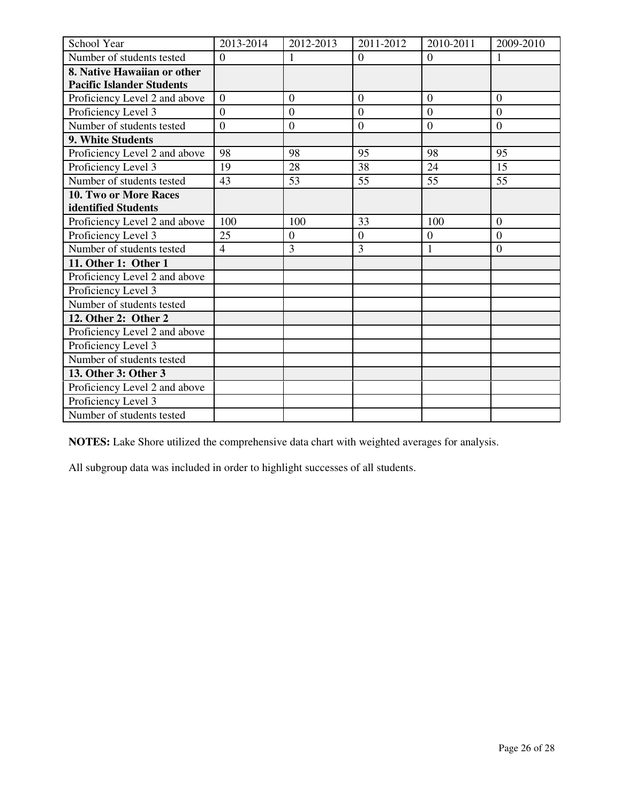| School Year                      | 2013-2014      | 2012-2013        | 2011-2012      | 2010-2011      | 2009-2010        |
|----------------------------------|----------------|------------------|----------------|----------------|------------------|
| Number of students tested        | $\overline{0}$ | 1                | $\overline{0}$ | $\theta$       |                  |
| 8. Native Hawaiian or other      |                |                  |                |                |                  |
| <b>Pacific Islander Students</b> |                |                  |                |                |                  |
| Proficiency Level 2 and above    | $\overline{0}$ | $\overline{0}$   | $\overline{0}$ | $\overline{0}$ | $\overline{0}$   |
| Proficiency Level 3              | $\theta$       | $\overline{0}$   | $\theta$       | $\theta$       | $\theta$         |
| Number of students tested        | $\overline{0}$ | $\boldsymbol{0}$ | $\overline{0}$ | $\overline{0}$ | $\boldsymbol{0}$ |
| 9. White Students                |                |                  |                |                |                  |
| Proficiency Level 2 and above    | 98             | 98               | 95             | 98             | 95               |
| Proficiency Level 3              | 19             | 28               | 38             | 24             | 15               |
| Number of students tested        | 43             | 53               | 55             | 55             | 55               |
| <b>10. Two or More Races</b>     |                |                  |                |                |                  |
| identified Students              |                |                  |                |                |                  |
| Proficiency Level 2 and above    | 100            | 100              | 33             | 100            | $\overline{0}$   |
| Proficiency Level 3              | 25             | $\overline{0}$   | $\overline{0}$ | $\overline{0}$ | $\overline{0}$   |
| Number of students tested        | $\overline{4}$ | 3                | 3              | $\mathbf{1}$   | $\overline{0}$   |
| 11. Other 1: Other 1             |                |                  |                |                |                  |
| Proficiency Level 2 and above    |                |                  |                |                |                  |
| Proficiency Level 3              |                |                  |                |                |                  |
| Number of students tested        |                |                  |                |                |                  |
| 12. Other 2: Other 2             |                |                  |                |                |                  |
| Proficiency Level 2 and above    |                |                  |                |                |                  |
| Proficiency Level 3              |                |                  |                |                |                  |
| Number of students tested        |                |                  |                |                |                  |
| 13. Other 3: Other 3             |                |                  |                |                |                  |
| Proficiency Level 2 and above    |                |                  |                |                |                  |
| Proficiency Level 3              |                |                  |                |                |                  |
| Number of students tested        |                |                  |                |                |                  |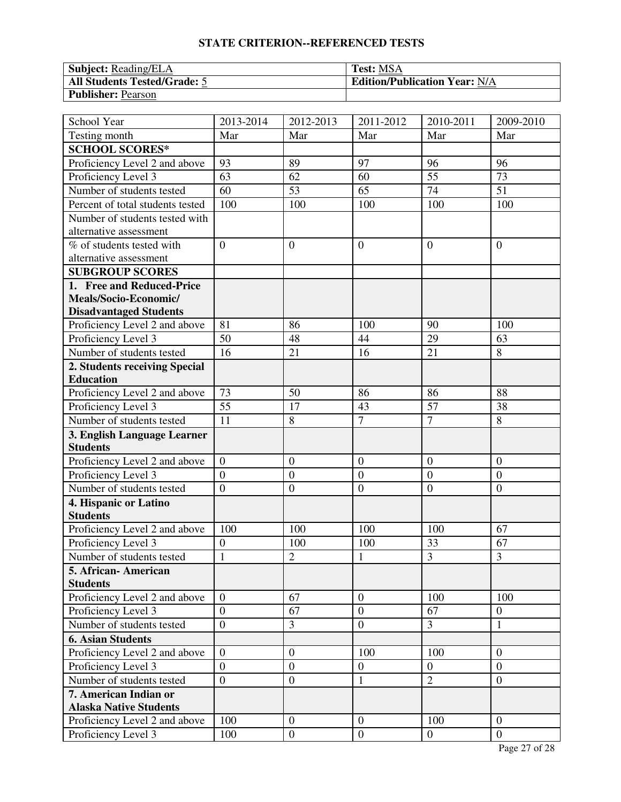| <b>Subject:</b> Reading/ELA         | <b>Test: MSA</b>                     |
|-------------------------------------|--------------------------------------|
| <b>All Students Tested/Grade: 5</b> | <b>Edition/Publication Year: N/A</b> |
| <b>Publisher: Pearson</b>           |                                      |

| School Year                                          | 2013-2014        | 2012-2013                        | 2011-2012               | 2010-2011             | 2009-2010                  |
|------------------------------------------------------|------------------|----------------------------------|-------------------------|-----------------------|----------------------------|
| Testing month                                        | Mar              | Mar                              | Mar                     | Mar                   | Mar                        |
| <b>SCHOOL SCORES*</b>                                |                  |                                  |                         |                       |                            |
| Proficiency Level 2 and above                        | 93               | 89                               | 97                      | 96                    | 96                         |
| Proficiency Level 3                                  | 63               | 62                               | 60                      | 55                    | 73                         |
| Number of students tested                            | 60               | 53                               | 65                      | 74                    | 51                         |
| Percent of total students tested                     | 100              | 100                              | 100                     | 100                   | 100                        |
| Number of students tested with                       |                  |                                  |                         |                       |                            |
| alternative assessment                               |                  |                                  |                         |                       |                            |
| % of students tested with                            | $\overline{0}$   | $\overline{0}$                   | $\overline{0}$          | $\overline{0}$        | $\theta$                   |
| alternative assessment                               |                  |                                  |                         |                       |                            |
| <b>SUBGROUP SCORES</b>                               |                  |                                  |                         |                       |                            |
| 1. Free and Reduced-Price                            |                  |                                  |                         |                       |                            |
| Meals/Socio-Economic/                                |                  |                                  |                         |                       |                            |
| <b>Disadvantaged Students</b>                        |                  |                                  |                         |                       |                            |
| Proficiency Level 2 and above                        | 81               | 86                               | 100                     | 90                    | 100                        |
| Proficiency Level 3                                  | 50               | 48                               | 44                      | 29                    | 63                         |
| Number of students tested                            | 16               | 21                               | 16                      | 21                    | 8                          |
| 2. Students receiving Special                        |                  |                                  |                         |                       |                            |
| <b>Education</b>                                     |                  |                                  |                         |                       |                            |
| Proficiency Level 2 and above                        | 73               | 50                               | 86                      | 86                    | 88                         |
| Proficiency Level 3                                  | 55               | 17                               | 43                      | 57                    | 38                         |
| Number of students tested                            | 11               | 8                                | $\overline{7}$          | $\overline{7}$        | 8                          |
| 3. English Language Learner                          |                  |                                  |                         |                       |                            |
| <b>Students</b>                                      |                  |                                  |                         |                       |                            |
| Proficiency Level 2 and above                        | $\overline{0}$   | $\mathbf{0}$                     | $\mathbf{0}$            | $\boldsymbol{0}$      | $\overline{0}$             |
| Proficiency Level 3                                  | $\overline{0}$   | $\mathbf{0}$                     | $\mathbf{0}$            | $\overline{0}$        | $\overline{0}$             |
| Number of students tested                            | $\overline{0}$   | $\mathbf{0}$                     | $\mathbf{0}$            | $\overline{0}$        | $\boldsymbol{0}$           |
| 4. Hispanic or Latino                                |                  |                                  |                         |                       |                            |
| <b>Students</b>                                      |                  |                                  |                         |                       |                            |
| Proficiency Level 2 and above                        | 100              | 100                              | 100                     | 100                   | 67                         |
| Proficiency Level 3                                  | $\overline{0}$   | 100                              | 100                     | 33                    | 67                         |
| Number of students tested                            | $\mathbf{1}$     | $\overline{2}$                   | $\mathbf{1}$            | 3                     | 3                          |
| 5. African- American                                 |                  |                                  |                         |                       |                            |
| <b>Students</b>                                      | $\overline{0}$   | 67                               | $\overline{0}$          | 100                   | 100                        |
| Proficiency Level 2 and above<br>Proficiency Level 3 | $\overline{0}$   | 67                               | $\mathbf{0}$            | 67                    | $\mathbf{0}$               |
| Number of students tested                            | $\overline{0}$   | 3                                | $\overline{0}$          | $\overline{3}$        |                            |
| <b>6. Asian Students</b>                             |                  |                                  |                         |                       | $\mathbf{1}$               |
|                                                      | $\overline{0}$   |                                  |                         |                       |                            |
| Proficiency Level 2 and above                        | $\overline{0}$   | $\overline{0}$<br>$\overline{0}$ | 100<br>$\boldsymbol{0}$ | 100<br>$\overline{0}$ | $\theta$<br>$\overline{0}$ |
| Proficiency Level 3<br>Number of students tested     |                  |                                  |                         | $\overline{2}$        |                            |
| 7. American Indian or                                | $\boldsymbol{0}$ | $\overline{0}$                   | $\mathbf{1}$            |                       | $\overline{0}$             |
| <b>Alaska Native Students</b>                        |                  |                                  |                         |                       |                            |
| Proficiency Level 2 and above                        | 100              | $\boldsymbol{0}$                 | $\mathbf{0}$            | 100                   | $\theta$                   |
| Proficiency Level 3                                  |                  | $\boldsymbol{0}$                 | $\boldsymbol{0}$        | $\overline{0}$        | $\overline{0}$             |
|                                                      | 100              |                                  |                         |                       |                            |